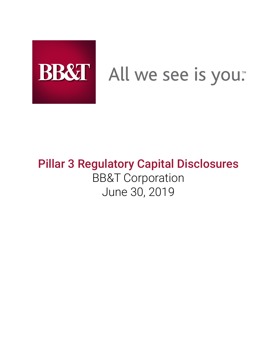

# BB&T All we see is you.

# **Pillar 3 Regulatory Capital Disclosures** BB&T Corporation June 30, 2019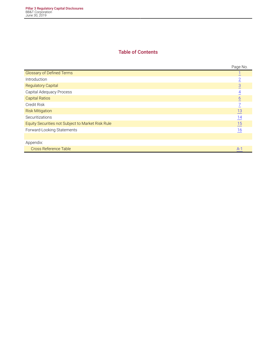# **Table of Contents**

|                                                   | Page No.        |
|---------------------------------------------------|-----------------|
| <b>Glossary of Defined Terms</b>                  |                 |
| Introduction                                      | $\overline{2}$  |
| <b>Regulatory Capital</b>                         | $\overline{3}$  |
| Capital Adequacy Process                          | 4               |
| <b>Capital Ratios</b>                             | $\underline{6}$ |
| Credit Risk                                       | 7               |
| <b>Risk Mitigation</b>                            | 13              |
| Securitizations                                   | $\frac{14}{1}$  |
| Equity Securities not Subject to Market Risk Rule | 15              |
| Forward-Looking Statements                        | 16              |
|                                                   |                 |
| Appendix:                                         |                 |
| <b>Cross Reference Table</b>                      | $A-1$           |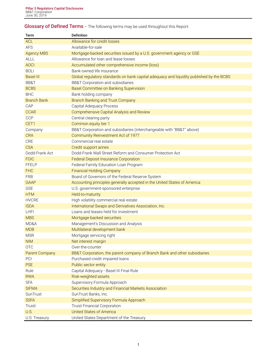# <span id="page-2-0"></span>**Glossary of Defined Terms** – The following terms may be used throughout this Report:

| Term                  | Definition                                                                               |
|-----------------------|------------------------------------------------------------------------------------------|
| <b>ACL</b>            | Allowance for credit losses                                                              |
| <b>AFS</b>            | Available-for-sale                                                                       |
| <b>Agency MBS</b>     | Mortgage-backed securities issued by a U.S. government agency or GSE                     |
| <b>ALLL</b>           | Allowance for loan and lease losses                                                      |
| <b>AOCI</b>           | Accumulated other comprehensive income (loss)                                            |
| <b>BOLI</b>           | Bank-owned life insurance                                                                |
| <b>Basel III</b>      | Global regulatory standards on bank capital adequacy and liquidity published by the BCBS |
| BB&T                  | BB&T Corporation and subsidiaries                                                        |
| <b>BCBS</b>           | Basel Committee on Banking Supervision                                                   |
| <b>BHC</b>            | Bank holding company                                                                     |
| <b>Branch Bank</b>    | <b>Branch Banking and Trust Company</b>                                                  |
| CAP                   | Capital Adequacy Process                                                                 |
| <b>CCAR</b>           | Comprehensive Capital Analysis and Review                                                |
| <b>CCP</b>            | Central clearing party                                                                   |
| CET1                  | Common equity tier 1                                                                     |
| Company               | BB&T Corporation and subsidiaries (interchangeable with "BB&T" above)                    |
| <b>CRA</b>            | Community Reinvestment Act of 1977                                                       |
| CRE                   | Commercial real estate                                                                   |
| <b>CSA</b>            | Credit support annex                                                                     |
| Dodd-Frank Act        | Dodd-Frank Wall Street Reform and Consumer Protection Act                                |
| <b>FDIC</b>           | <b>Federal Deposit Insurance Corporation</b>                                             |
| <b>FFELP</b>          | Federal Family Education Loan Program                                                    |
| <b>FHC</b>            | <b>Financial Holding Company</b>                                                         |
| <b>FRB</b>            | Board of Governors of the Federal Reserve System                                         |
| <b>GAAP</b>           | Accounting principles generally accepted in the United States of America                 |
| GSE                   | U.S. government-sponsored enterprise                                                     |
| <b>HTM</b>            | Held-to-maturity                                                                         |
| <b>HVCRE</b>          | High volatility commercial real estate                                                   |
| <b>ISDA</b>           | International Swaps and Derivatives Association, Inc.                                    |
| <b>LHFI</b>           | Loans and leases held for investment                                                     |
| <b>MBS</b>            | Mortgage-backed securities                                                               |
| MD&A                  | Management's Discussion and Analysis                                                     |
| <b>MDB</b>            | Multilateral development bank                                                            |
| <b>MSR</b>            | Mortgage servicing right                                                                 |
| <b>NIM</b>            | Net interest margin                                                                      |
| <b>OTC</b>            | Over-the-counter                                                                         |
| <b>Parent Company</b> | BB&T Corporation, the parent company of Branch Bank and other subsidiaries               |
| PCI                   | Purchased credit impaired loans                                                          |
| <b>PSE</b>            | Public sector entity                                                                     |
| Rule                  | Capital Adequacy - Basel III Final Rule                                                  |
| <b>RWA</b>            | Risk-weighted assets                                                                     |
| <b>SFA</b>            | Supervisory Formula Approach                                                             |
| <b>SIFMA</b>          | Securities Industry and Financial Markets Association                                    |
| SunTrust              | SunTrust Banks, Inc.                                                                     |
| <b>SSFA</b>           | Simplified Supervisory Formula Approach                                                  |
| Truist                | <b>Truist Financial Corporation</b>                                                      |
| U.S.                  | <b>United States of America</b>                                                          |
| U.S. Treasury         | United States Department of the Treasury                                                 |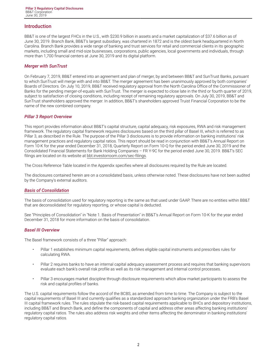# <span id="page-3-0"></span>**Introduction**

BB&T is one of the largest FHCs in the U.S., with \$230.9 billion in assets and a market capitalization of \$37.6 billion as of June 30, 2019. Branch Bank, BB&T's largest subsidiary, was chartered in 1872 and is the oldest bank headquartered in North Carolina. Branch Bank provides a wide range of banking and trust services for retail and commercial clients in its geographic markets, including small and mid-size businesses, corporations, public agencies, local governments and individuals, through more than 1,700 financial centers at June 30, 2019 and its digital platform.

# *Merger with SunTrust*

On February 7, 2019, BB&T entered into an agreement and plan of merger, by and between BB&T and SunTrust Banks, pursuant to which SunTrust will merge with and into BB&T. The merger agreement has been unanimously approved by both companies' Boards of Directors. On July 10, 2019, BB&T received regulatory approval from the North Carolina Office of the Commissioner of Banks for the pending merger-of-equals with SunTrust. The merger is expected to close late in the third or fourth quarter of 2019, subject to satisfaction of closing conditions, including receipt of remaining regulatory approvals. On July 30, 2019, BB&T and SunTrust shareholders approved the merger. In addition, BB&T's shareholders approved Truist Financial Corporation to be the name of the new combined company.

#### *Pillar 3 Report Overview*

This report provides information about BB&T's capital structure, capital adequacy, risk exposures, RWA and risk management framework. The regulatory capital framework requires disclosures based on the third pillar of Basel III, which is referred to as Pillar 3, as described in the Rule. The purpose of the Pillar 3 disclosures is to provide information on banking institutions' risk management practices and regulatory capital ratios. This report should be read in conjunction with BB&T's Annual Report on Form 10-K for the year ended December 31, 2018, Quarterly Report on Form 10-Q for the period ended June 30, 2019 and the Consolidated Financial Statements for Bank Holding Companies – FR Y-9C for the period ended June 30, 2019. BB&T's SEC filings are located on its website at [bbt.investorroom.com/sec-filings](http://bbt.investorroom.com/sec-filings)**.**

The Cross Reference Table located in the Appendix specifies where all disclosures required by the Rule are located.

The disclosures contained herein are on a consolidated basis, unless otherwise noted. These disclosures have not been audited by the Company's external auditors.

#### *Basis of Consolidation*

The basis of consolidation used for regulatory reporting is the same as that used under GAAP. There are no entities within BB&T that are deconsolidated for regulatory reporting, or whose capital is deducted.

See "Principles of Consolidation" in "Note 1. Basis of Presentation" in BB&T's Annual Report on Form 10-K for the year ended December 31, 2018 for more information on the basis of consolidation.

#### *Basel III Overview*

The Basel framework consists of a three "Pillar" approach:

- Pillar 1 establishes minimum capital requirements, defines eligible capital instruments and prescribes rules for calculating RWA.
- Pillar 2 requires banks to have an internal capital adequacy assessment process and requires that banking supervisors evaluate each bank's overall risk profile as well as its risk management and internal control processes.
- Pillar 3 encourages market discipline through disclosure requirements which allow market participants to assess the risk and capital profiles of banks.

The U.S. capital requirements follow the accord of the BCBS, as amended from time to time. The Company is subject to the capital requirements of Basel III and currently qualifies as a standardized approach banking organization under the FRB's Basel III capital framework rules. The rules stipulate the risk-based capital requirements applicable to BHCs and depository institutions, including BB&T and Branch Bank, and define the components of capital and address other areas affecting banking institutions' regulatory capital ratios. The rules also address risk weights and other items affecting the denominator in banking institutions' regulatory capital ratios.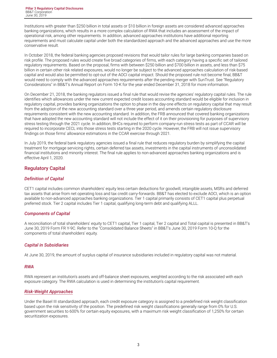<span id="page-4-0"></span>Institutions with greater than \$250 billion in total assets or \$10 billion in foreign assets are considered advanced approaches banking organizations, which results in a more complex calculation of RWA that includes an assessment of the impact of operational risk, among other requirements. In addition, advanced approaches institutions have additional reporting requirements and must calculate capital under both the standardized approach and the advanced approaches and use the more conservative result.

In October 2018, the federal banking agencies proposed revisions that would tailor rules for large banking companies based on risk profile. The proposed rules would create five broad categories of firms, with each category having a specific set of tailored regulatory requirements. Based on the proposal, firms with between \$250 billion and \$700 billion in assets, and less than \$75 billion in certain other risk related exposures, would no longer be subject to the advanced approaches calculation of risk-based capital and would also be permitted to opt-out of the AOCI capital impact. Should the proposed rule not become final, BB&T would need to comply with the advanced approaches requirements after the pending merger with SunTrust. See "Regulatory Considerations" in BB&T's Annual Report on Form 10-K for the year ended December 31, 2018 for more information.

On December 21, 2018, the banking regulators issued a final rule that would revise the agencies' regulatory capital rules. The rule identifies which allowances under the new current expected credit losses accounting standard would be eligible for inclusion in regulatory capital, provides banking organizations the option to phase in the day-one effects on regulatory capital that may result from the adoption of the new accounting standard over a three year period, and amends certain regulatory disclosure requirements consistent with the new accounting standard. In addition, the FRB announced that covered banking organizations that have adopted the new accounting standard will not include the effect of it on their provisioning for purposes of supervisory stress testing through the 2021 cycle. In addition, BHCs required to perform company-run stress tests as part of CCAR will be required to incorporate CECL into those stress tests starting in the 2020 cycle. However, the FRB will not issue supervisory findings on those firms' allowance estimations in the CCAR exercise through 2021.

In July 2019, the federal bank regulatory agencies issued a final rule that reduces regulatory burden by simplifying the capital treatment for mortgage servicing rights, certain deferred tax assets, investments in the capital instruments of unconsolidated financial institutions and minority interest. The final rule applies to non-advanced approaches banking organizations and is effective April 1, 2020.

# **Regulatory Capital**

# *Definition of Capital*

CET1 capital includes common shareholders' equity less certain deductions for goodwill, intangible assets, MSRs and deferred tax assets that arise from net operating loss and tax credit carry-forwards. BB&T has elected to exclude AOCI, which is an option available to non-advanced approaches banking organizations. Tier 1 capital primarily consists of CET1 capital plus perpetual preferred stock. Tier 2 capital includes Tier 1 capital, qualifying long-term debt and qualifying ALLL.

# *Components of Capital*

A reconciliation of total shareholders' equity to CET1 capital, Tier 1 capital, Tier 2 capital and Total capital is presented in BB&T's June 30, 2019 Form FR Y-9C. Refer to the "Consolidated Balance Sheets" in BB&T's June 30, 2019 Form 10-Q for the components of total shareholders' equity.

# *Capital in Subsidiaries*

At June 30, 2019, the amount of surplus capital of insurance subsidiaries included in regulatory capital was not material.

# *RWA*

RWA represent an institution's assets and off-balance sheet exposures, weighted according to the risk associated with each exposure category. The RWA calculation is used in determining the institution's capital requirement.

# *Risk-Weight Approaches*

Under the Basel III standardized approach, each credit exposure category is assigned to a predefined risk weight classification based upon the risk sensitivity of the position. The predefined risk weight classifications generally range from 0% for U.S. government securities to 600% for certain equity exposures, with a maximum risk weight classification of 1,250% for certain securitization exposures.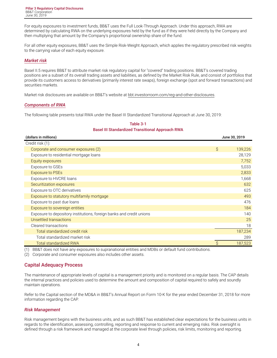<span id="page-5-0"></span>For equity exposures to investment funds, BB&T uses the Full Look-Through Approach. Under this approach, RWA are determined by calculating RWA on the underlying exposures held by the fund as if they were held directly by the Company and then multiplying that amount by the Company's proportional ownership share of the fund.

For all other equity exposures, BB&T uses the Simple Risk-Weight Approach, which applies the regulatory prescribed risk weights to the carrying value of each equity exposure.

### *Market risk*

Basel II.5 requires BB&T to attribute market risk regulatory capital for "covered" trading positions. BB&T's covered trading positions are a subset of its overall trading assets and liabilities, as defined by the Market Risk Rule, and consist of portfolios that provide its customers access to derivatives (primarily interest rate swaps), foreign exchange (spot and forward transactions) and securities markets.

Market risk disclosures are available on BB&T's website at [bbt.investorroom.com/reg-and-other-disclosures](https://bbt.investorroom.com/reg-and-other-disclosures).

#### *Components of RWA*

The following table presents total RWA under the Basel III Standardized Transitional Approach at June 30, 2019:

| (dollars in millions)                                                |   | June 30, 2019 |
|----------------------------------------------------------------------|---|---------------|
| Credit risk (1):                                                     |   |               |
| Corporate and consumer exposures (2)                                 | Ŝ | 139,226       |
| Exposure to residential mortgage loans                               |   | 28,129        |
| Equity exposures                                                     |   | 7,752         |
| Exposure to GSEs                                                     |   | 5,033         |
| <b>Exposure to PSEs</b>                                              |   | 2,833         |
| Exposure to HVCRE loans                                              |   | 1,668         |
| Securitization exposures                                             |   | 632           |
| Exposure to OTC derivatives                                          |   | 625           |
| Exposure to statutory multifamily mortgage                           |   | 493           |
| Exposure to past due loans                                           |   | 476           |
| Exposure to sovereign entities                                       |   | 184           |
| Exposure to depository institutions, foreign banks and credit unions |   | 140           |
| Unsettled transactions                                               |   | 25            |
| Cleared transactions                                                 |   | 18            |
| Total standardized credit risk                                       |   | 187,234       |
| Total standardized market risk                                       |   | 289           |
| <b>Total standardized RWA</b>                                        |   | 187,523       |

#### **Table 3-1 Basel III Standardized Transitional Approach RWA**

(1) BB&T does not have any exposures to supranational entities and MDBs or default fund contributions.

(2) Corporate and consumer exposures also includes other assets.

# **Capital Adequacy Process**

The maintenance of appropriate levels of capital is a management priority and is monitored on a regular basis. The CAP details the internal practices and policies used to determine the amount and composition of capital required to safely and soundly maintain operations.

Refer to the Capital section of the MD&A in BB&T's Annual Report on Form 10-K for the year ended December 31, 2018 for more information regarding the CAP.

# *Risk Management*

Risk management begins with the business units, and as such BB&T has established clear expectations for the business units in regards to the identification, assessing, controlling, reporting and response to current and emerging risks. Risk oversight is defined through a risk framework and managed at the corporate level through policies, risk limits, monitoring and reporting.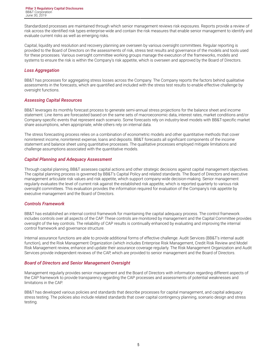Standardized processes are maintained through which senior management reviews risk exposures. Reports provide a review of risk across the identified risk types enterprise-wide and contain the risk measures that enable senior management to identify and evaluate current risks as well as emerging risks.

Capital, liquidity and resolution and recovery planning are overseen by various oversight committees. Regular reporting is provided to the Board of Directors on the assessments of risk, stress test results and governance of the models and tools used for these processes. Various oversight committee working groups manage the execution of the frameworks, models and systems to ensure the risk is within the Company's risk appetite, which is overseen and approved by the Board of Directors.

# *Loss Aggregation*

BB&T has processes for aggregating stress losses across the Company. The Company reports the factors behind qualitative assessments in the forecasts, which are quantified and included with the stress test results to enable effective challenge by oversight functions.

# *Assessing Capital Resources*

BB&T leverages its monthly forecast process to generate semi-annual stress projections for the balance sheet and income statement. Line items are forecasted based on the same sets of macroeconomic data, interest rates, market conditions and/or Company-specific events that represent each scenario. Some forecasts rely on industry-level models with BB&T-specific market share assumptions, when appropriate, while others rely on internal data.

The stress forecasting process relies on a combination of econometric models and other quantitative methods that cover noninterest income, noninterest expense, loans and deposits. BB&T forecasts all significant components of the income statement and balance sheet using quantitative processes. The qualitative processes employed mitigate limitations and challenge assumptions associated with the quantitative models.

# *Capital Planning and Adequacy Assessment*

Through capital planning, BB&T assesses capital actions and other strategic decisions against capital management objectives. The capital planning process is governed by BB&T's Capital Policy and related standards. The Board of Directors and executive management articulate risk values and risk appetite, which support company-wide decision-making. Senior management regularly evaluates the level of current risk against the established risk appetite, which is reported quarterly to various risk oversight committees. This evaluation provides the information required for evaluation of the Company's risk appetite by executive management and the Board of Directors.

# *Controls Framework*

BB&T has established an internal control framework for maintaining the capital adequacy process. The control framework includes controls over all aspects of the CAP. These controls are monitored by management and the Capital Committee provides oversight of the key controls. The reliability of CAP results is continually enhanced by evaluating and improving the internal control framework and governance structure.

Internal assurance functions are able to provide additional forms of effective challenge. Audit Services (BB&T's internal audit function), and the Risk Management Organization (which includes Enterprise Risk Management, Credit Risk Review and Model Risk Management review, enhance and update their assurance coverage regularly. The Risk Management Organization and Audit Services provide independent reviews of the CAP, which are provided to senior management and the Board of Directors.

#### *Board of Directors and Senior Management Oversight*

Management regularly provides senior management and the Board of Directors with information regarding different aspects of the CAP framework to provide transparency regarding the CAP processes and assessments of potential weaknesses and limitations in the CAP.

BB&T has developed various policies and standards that describe processes for capital management, and capital adequacy stress testing. The policies also include related standards that cover capital contingency planning, scenario design and stress testing.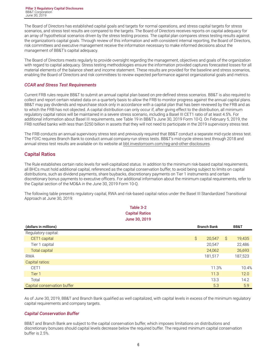<span id="page-7-0"></span>The Board of Directors has established capital goals and targets for normal operations, and stress capital targets for stress scenarios, and stress test results are compared to the targets. The Board of Directors receives reports on capital adequacy for an array of hypothetical scenarios driven by the stress testing process. The capital plan compares stress testing results against the organization's capital goals. Through review of this information and with consistent internal reporting, the Board of Directors, risk committees and executive management receive the information necessary to make informed decisions about the management of BB&T's capital adequacy.

The Board of Directors meets regularly to provide oversight regarding the management, objectives and goals of the organization with regard to capital adequacy. Stress testing methodologies ensure the information provided captures forecasted losses for all material elements of the balance sheet and income statement. These results are provided for the baseline and stress scenarios, enabling the Board of Directors and risk committees to review expected performance against organizational goals and metrics.

# *CCAR and Stress Test Requirements*

Current FRB rules require BB&T to submit an annual capital plan based on pre-defined stress scenarios. BB&T is also required to collect and report certain related data on a quarterly basis to allow the FRB to monitor progress against the annual capital plans. BB&T may pay dividends and repurchase stock only in accordance with a capital plan that has been reviewed by the FRB and as to which the FRB has not objected. A capital distribution can only occur if, after giving effect to the distribution, all minimum regulatory capital ratios will be maintained in a severe stress scenario, including a Basel III CET1 ratio of at least 4.5%. For additional information about Basel III requirements, see Table 19 in BB&T's June 30, 2019 Form 10-Q. On February 5, 2019, the FRB notified banks with less than \$250 billion in assets that they will not need to participate in the 2019 supervisory stress test.

The FRB conducts an annual supervisory stress test and previously required that BB&T conduct a separate mid-cycle stress test. The FDIC requires Branch Bank to conduct annual company-run stress tests. BB&T's mid-cycle stress test through 2018 and annual stress test results are available on its website at [bbt.investorroom.com/reg-and-other-disclosures.](https://bbt.investorroom.com/reg-and-other-disclosures)

# **Capital Ratios**

The Rule establishes certain ratio levels for well-capitalized status. In addition to the minimum risk-based capital requirements, all BHCs must hold additional capital, referenced as the capital conservation buffer, to avoid being subject to limits on capital distributions, such as dividend payments, share buybacks, discretionary payments on Tier 1 instruments and certain discretionary bonus payments to executive officers. For additional information about the minimum capital requirements, refer to the Capital section of the MD&A in the June 30, 2019 Form 10-Q.

The following table presents regulatory capital, RWA and risk-based capital ratios under the Basel III Standardized Transitional Approach at June 30, 2019:

> **Table 3-2 Capital Ratios June 30, 2019**

| (dollars in millions)       | <b>Branch Bank</b> |              | <b>BB&amp;T</b> |
|-----------------------------|--------------------|--------------|-----------------|
| Regulatory capital:         |                    |              |                 |
| CET1 capital                | \$<br>20,547       | $\mathsf{S}$ | 19,435          |
| Tier 1 capital              | 20,547             |              | 22,486          |
| <b>Total capital</b>        | 24,062             |              | 26,693          |
| <b>RWA</b>                  | 181,517            |              | 187,523         |
| Capital ratios:             |                    |              |                 |
| CET1                        | 11.3%              |              | 10.4%           |
| Tier 1                      | 11.3               |              | 12.0            |
| Total                       | 13.3               |              | 14.2            |
| Capital conservation buffer | 5.3                |              | 5.9             |

As of June 30, 2019, BB&T and Branch Bank qualified as well capitalized, with capital levels in excess of the minimum regulatory capital requirements and company targets.

# *Capital Conservation Buffer*

BB&T and Branch Bank are subject to the capital conservation buffer, which imposes limitations on distributions and discretionary bonuses should capital levels decrease below the required buffer. The required minimum capital conservation buffer is 2.5%.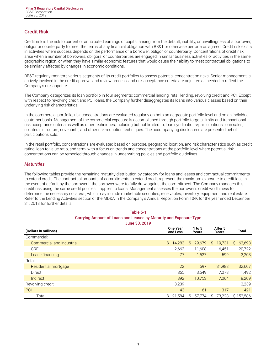# <span id="page-8-0"></span>**Credit Risk**

Credit risk is the risk to current or anticipated earnings or capital arising from the default, inability, or unwillingness of a borrower, obligor or counterparty to meet the terms of any financial obligation with BB&T or otherwise perform as agreed. Credit risk exists in activities where success depends on the performance of a borrower, obligor, or counterparty. Concentrations of credit risk arise when a number of borrowers, obligors, or counterparties are engaged in similar business activities or activities in the same geographic region, or when they have similar economic features that would cause their ability to meet contractual obligations to be similarly affected by changes in economic conditions.

BB&T regularly monitors various segments of its credit portfolios to assess potential concentration risks. Senior management is actively involved in the credit approval and review process, and risk acceptance criteria are adjusted as needed to reflect the Company's risk appetite.

The Company categorizes its loan portfolio in four segments: commercial lending, retail lending, revolving credit and PCI. Except with respect to revolving credit and PCI loans, the Company further disaggregates its loans into various classes based on their underlying risk characteristics.

In the commercial portfolio, risk concentrations are evaluated regularly on both an aggregate portfolio level and on an individual customer basis. Management of the commercial exposure is accomplished through portfolio targets, limits and transactional risk acceptance criteria as well as other techniques, including but not limited to, loan syndications/participations, loan sales, collateral, structure, covenants, and other risk-reduction techniques. The accompanying disclosures are presented net of participations sold.

In the retail portfolio, concentrations are evaluated based on purpose, geographic location, and risk characteristics such as credit rating, loan to value ratio, and term, with a focus on trends and concentrations at the portfolio level where potential risk concentrations can be remedied through changes in underwriting policies and portfolio guidelines.

#### *Maturities*

The following tables provide the remaining maturity distribution by category for loans and leases and contractual commitments to extend credit. The contractual amounts of commitments to extend credit represent the maximum exposure to credit loss in the event of default by the borrower if the borrower were to fully draw against the commitment. The Company manages this credit risk using the same credit policies it applies to loans. Management assesses the borrower's credit worthiness to determine the necessary collateral, which may include marketable securities, receivables, inventory, equipment and real estate. Refer to the Lending Activities section of the MD&A in the Company's Annual Report on Form 10-K for the year ended December 31, 2018 for further details.

| Table 5-1                                                         |                             |                 |                  |              |  |  |  |  |  |  |  |  |  |
|-------------------------------------------------------------------|-----------------------------|-----------------|------------------|--------------|--|--|--|--|--|--|--|--|--|
| Carrying Amount of Loans and Leases by Maturity and Exposure Type |                             |                 |                  |              |  |  |  |  |  |  |  |  |  |
| June 30, 2019                                                     |                             |                 |                  |              |  |  |  |  |  |  |  |  |  |
| (Dollars in millions)                                             | <b>One Year</b><br>and Less | 1 to 5<br>Years | After 5<br>Years | Total        |  |  |  |  |  |  |  |  |  |
| Commercial:                                                       |                             |                 |                  |              |  |  |  |  |  |  |  |  |  |
| Commercial and industrial                                         | S.<br>14,283                | Ŝ.<br>29,679    | S.<br>19,731     | 63,693<br>S. |  |  |  |  |  |  |  |  |  |
| CRE.                                                              | 2,663                       | 11.608          | 6,451            | 20,722       |  |  |  |  |  |  |  |  |  |
| Lease financing                                                   | 77                          | 1,527           | 599              | 2,203        |  |  |  |  |  |  |  |  |  |
| Retail:                                                           |                             |                 |                  |              |  |  |  |  |  |  |  |  |  |
| Residential mortgage                                              | 22                          | 597             | 31,988           | 32,607       |  |  |  |  |  |  |  |  |  |
| Direct                                                            | 865                         | 3,549           | 7,078            | 11,492       |  |  |  |  |  |  |  |  |  |
| Indirect                                                          | 392                         | 10,753          | 7,064            | 18,209       |  |  |  |  |  |  |  |  |  |
| Revolving credit                                                  | 3,239                       |                 | —                | 3.239        |  |  |  |  |  |  |  |  |  |
| PCI                                                               | 43                          | 61              | 317              | 421          |  |  |  |  |  |  |  |  |  |
| Total                                                             | Ŝ.<br>21,584                | S<br>57.774     | 73,228<br>S      | \$152,586    |  |  |  |  |  |  |  |  |  |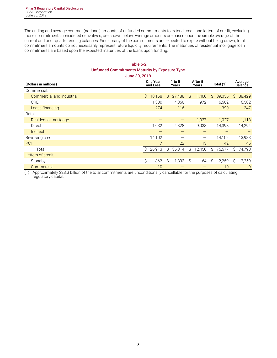The ending and average contract (notional) amounts of unfunded commitments to extend credit and letters of credit, excluding those commitments considered derivatives, are shown below. Average amounts are based upon the simple average of the current and prior quarter ending balances. Since many of the commitments are expected to expire without being drawn, total commitment amounts do not necessarily represent future liquidity requirements. The maturities of residential mortgage loan commitments are based upon the expected maturities of the loans upon funding.

# **Table 5-2 Unfunded Commitments Maturity by Exposure Type June 30, 2019**

| (Dollars in millions)     |    | <b>One Year</b><br>and Less | $1$ to 5<br>Years |        | After 5<br>Years |                          | Total (1) |        |    | Average<br><b>Balance</b> |
|---------------------------|----|-----------------------------|-------------------|--------|------------------|--------------------------|-----------|--------|----|---------------------------|
| Commercial:               |    |                             |                   |        |                  |                          |           |        |    |                           |
| Commercial and industrial | Ŝ. | 10,168                      | Ŝ.                | 27,488 | $\mathsf{S}$     | 1,400                    | Ŝ.        | 39,056 | S. | 38,429                    |
| <b>CRE</b>                |    | 1,330                       |                   | 4,360  |                  | 972                      |           | 6,662  |    | 6,582                     |
| Lease financing           |    | 274                         |                   | 116    |                  |                          |           | 390    |    | 347                       |
| Retail:                   |    |                             |                   |        |                  |                          |           |        |    |                           |
| Residential mortgage      |    |                             |                   |        |                  | 1,027                    |           | 1,027  |    | 1,118                     |
| Direct                    |    | 1,032                       |                   | 4,328  |                  | 9,038                    |           | 14,398 |    | 14,294                    |
| Indirect                  |    |                             |                   |        |                  |                          |           |        |    |                           |
| Revolving credit          |    | 14,102                      |                   |        |                  | $\overline{\phantom{m}}$ |           | 14,102 |    | 13,983                    |
| PCI                       |    |                             |                   | 22     |                  | 13                       |           | 42     |    | 45                        |
| Total                     | S  | 26,913                      | Ŝ.                | 36,314 | \$               | 12,450                   | Ŝ         | 75,677 | S  | 74,798                    |
| Letters of credit:        |    |                             |                   |        |                  |                          |           |        |    |                           |
| Standby                   | \$ | 862                         | \$                | 1,333  | Ŝ                | 64                       | Ŝ         | 2,259  | Ŝ  | 2,259                     |
| Commercial                |    | 10                          |                   |        |                  |                          |           | 10     |    | $\overline{9}$            |

(1) Approximately \$28.3 billion of the total commitments are unconditionally cancellable for the purposes of calculating regulatory capital.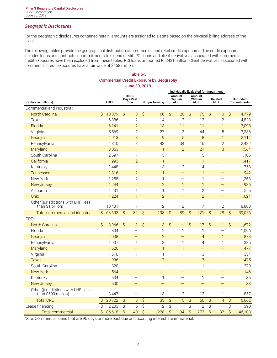# *Geographic Disclosures*

For the geographic disclosures contained herein, amounts are assigned to a state based on the physical billing address of the client.

The following tables provide the geographical distribution of commercial and retail credit exposures. The credit exposure includes loans and contractual commitments to extend credit. PCI loans and client derivatives associated with commercial credit exposures have been excluded from these tables. PCI loans amounted to \$421 million. Client derivatives associated with commercial credit exposures have a fair value of \$458 million.

# **Table 5-3 Commercial Credit Exposure by Geography June 30, 2019**

|                                                            |                |        |              |                           |                          |                | Individually Evaluated for Impairment |                                 |                          |                                  |                          |                          |                         |                                |  |
|------------------------------------------------------------|----------------|--------|--------------|---------------------------|--------------------------|----------------|---------------------------------------|---------------------------------|--------------------------|----------------------------------|--------------------------|--------------------------|-------------------------|--------------------------------|--|
| (Dollars in millions)                                      |                | LHFI   |              | 30-89<br>Days Past<br>Due |                          | Nonperforming  |                                       | Amount<br>W/O an<br><b>ALLL</b> |                          | Amount<br>With an<br><b>ALLL</b> |                          | Related<br><b>ALLL</b>   |                         | <b>Unfunded</b><br>Commitments |  |
| Commercial and industrial:                                 |                |        |              |                           |                          |                |                                       |                                 |                          |                                  |                          |                          |                         |                                |  |
| <b>North Carolina</b>                                      | Ś              | 10,079 | Ŝ            | 3                         | $\mathsf{S}$             | 60             | Ŝ                                     | 26                              | \$                       | 75                               | $\mathsf{S}$             | 10                       | Ŝ                       | 4,779                          |  |
| Texas                                                      |                | 6,386  |              | $\overline{2}$            |                          | $\overline{4}$ |                                       | $\mathbf{2}$                    |                          | 12                               |                          | $\overline{2}$           |                         | 4,828                          |  |
| Florida                                                    |                | 6,141  |              | $\overline{2}$            |                          | 13             |                                       | 11                              |                          | 11                               |                          | $\overline{1}$           |                         | 3,098                          |  |
| Virginia                                                   |                | 5,569  |              | $\mathbf{1}$              |                          | 27             |                                       | 3                               |                          | 44                               |                          | 5                        |                         | 3,338                          |  |
| Georgia                                                    |                | 4,913  |              | 3                         |                          | 9              |                                       | 5                               |                          | 8                                |                          | $\mathbf{1}$             |                         | 2,114                          |  |
| Pennsylvania                                               |                | 4,810  |              | 3                         |                          | 43             |                                       | 34                              |                          | 16                               |                          | $\overline{2}$           |                         | 2,432                          |  |
| Maryland                                                   |                | 3,053  |              |                           |                          | 11             |                                       | $\overline{2}$                  |                          | 21                               |                          | 3                        |                         | 1,564                          |  |
| South Carolina                                             |                | 2,597  |              | $\mathbf{1}$              |                          | 3              |                                       | $\overline{\phantom{0}}$        |                          | 5                                |                          | $\mathbf{1}$             |                         | 1,105                          |  |
| California                                                 |                | 1,993  |              | $\overline{2}$            |                          | $\mathbf{1}$   |                                       |                                 |                          | $\mathbf{1}$                     |                          | $\equiv$                 |                         | 1,417                          |  |
| Kentucky                                                   |                | 1,448  |              | $\equiv$                  |                          | 3              |                                       | $\mathbf{2}$                    |                          | $\overline{4}$                   |                          | 1                        |                         | 753                            |  |
| <b>Tennessee</b>                                           |                | 1,316  |              | $\overline{2}$            |                          | $\mathbf{1}$   |                                       | $\qquad \qquad -$               |                          | $\mathbf{1}$                     |                          | $\equiv$                 |                         | 942                            |  |
| New York                                                   |                | 1,258  |              | $\overline{2}$            |                          | 1              |                                       |                                 |                          | $\mathbf{1}$                     |                          |                          |                         | 1,363                          |  |
| New Jersey                                                 |                | 1,244  |              | $\overline{2}$            |                          | $\overline{2}$ |                                       | $\mathbf{1}$                    |                          | $\mathbf{1}$                     |                          |                          |                         | 936                            |  |
| Alabama                                                    |                | 1,231  |              | $\mathbf{1}$              |                          | $\mathbf{1}$   |                                       | 1                               |                          | $\mathbf{2}$                     |                          | $\overline{\phantom{0}}$ |                         | 555                            |  |
| Ohio                                                       |                | 1,224  |              | $\mathbf{1}$              |                          | $\overline{2}$ |                                       |                                 |                          | $\overline{2}$                   |                          |                          |                         | 1,024                          |  |
| Other (jurisdictions with LHFI less<br>than \$1 billion)   |                | 10,431 |              | $\overline{7}$            |                          | 12             |                                       | $\mathbf{2}$                    |                          | 17                               |                          | $\overline{2}$           |                         | 8,808                          |  |
| Total commercial and industrial                            | $\mathcal{S}$  | 63,693 | $\mathsf{S}$ | 32                        | $\overline{\mathcal{S}}$ | 193            | $\overline{\mathcal{S}}$              | 89                              | $\mathsf{S}$             | 221                              | $\overline{\mathcal{S}}$ | 28                       | $\mathsf{S}$            | 39,056                         |  |
| CRE:                                                       |                |        |              |                           |                          |                |                                       |                                 |                          |                                  |                          |                          |                         |                                |  |
| <b>North Carolina</b>                                      | $\mathsf{S}$   | 3,966  | $\mathsf{S}$ | 1                         | \$                       | 3              | $\hat{S}$                             |                                 | $\mathsf{S}$             | 17                               | $\mathsf{S}$             | $\mathbf{1}$             | \$                      | 1,672                          |  |
| Florida                                                    |                | 2,804  |              |                           |                          | $\overline{2}$ |                                       | $\mathbf{1}$                    |                          | $\mathbf{1}$                     |                          |                          |                         | 1,096                          |  |
| Georgia                                                    |                | 2,038  |              |                           |                          | $\overline{2}$ |                                       | $\overline{\phantom{0}}$        |                          | $\overline{4}$                   |                          | $\mathbf{1}$             |                         | 873                            |  |
| Pennsylvania                                               |                | 1,907  |              | $\mathbf{1}$              |                          | 3              |                                       | $\mathbf 1$                     |                          | $\overline{4}$                   |                          | $\mathbf{1}$             |                         | 335                            |  |
| Maryland                                                   |                | 1,626  |              | $\overline{\phantom{0}}$  |                          | $\mathbf{1}$   |                                       | $\mathbf{1}$                    |                          | —                                |                          | $\overline{\phantom{0}}$ |                         | 477                            |  |
| Virginia                                                   |                | 1,610  |              | $\mathbf{1}$              |                          | $\mathbf{1}$   |                                       | $\overline{\phantom{0}}$        |                          | 3                                |                          | $\overline{\phantom{0}}$ |                         | 334                            |  |
| <b>Texas</b>                                               |                | 936    |              | $\overline{\phantom{0}}$  |                          | $\overline{7}$ |                                       |                                 |                          | $\overline{7}$                   |                          | ═                        |                         | 475                            |  |
| South Carolina                                             |                | 820    |              | $\overline{\phantom{0}}$  |                          |                |                                       | $\qquad \qquad -$               |                          | $\mathbf{1}$                     |                          | $\overline{\phantom{0}}$ |                         | 279                            |  |
| <b>New York</b>                                            |                | 564    |              | —                         |                          |                |                                       |                                 |                          | $\equiv$                         |                          |                          |                         | 146                            |  |
| Kentucky                                                   |                | 504    |              | —                         |                          | $\mathbf{1}$   |                                       | $\overline{\phantom{0}}$        |                          | $\mathbf{1}$                     |                          | $\overline{\phantom{0}}$ |                         | 35                             |  |
| New Jersey                                                 |                | 500    |              | —                         |                          |                |                                       | $\overline{\phantom{0}}$        |                          |                                  |                          | $\overline{\phantom{0}}$ |                         | 83                             |  |
| Other (jurisdictions with LHFI less<br>than \$500 million) |                | 3,447  |              | $\overline{\phantom{m}}$  |                          | 13             |                                       | $\mathbf{2}$                    |                          | 12                               |                          | 1                        |                         | 857                            |  |
| <b>Total CRE</b>                                           | \$             | 20,722 | \$           | 3                         | $\hat{\mathcal{S}}$      | 33             | $\hat{\mathcal{S}}$                   | 5                               | \$                       | 50                               | $\hat{\mathcal{S}}$      | $\overline{4}$           | \$                      | 6,662                          |  |
| Lease financing                                            | \$             | 2,203  | \$           | 5                         | $\overline{\varsigma}$   | $\overline{2}$ | \$                                    |                                 | $\overline{\mathcal{S}}$ | $\overline{2}$                   | \$                       | —                        | \$                      | 390                            |  |
| <b>Total commercial</b>                                    | $\overline{S}$ | 86,618 | \$           | 40                        | $\overline{\mathsf{S}}$  | 228            | \$                                    | 94                              | $\overline{\mathsf{S}}$  | 273                              | \$                       | 32                       | $\overline{\mathsf{S}}$ | 46,108                         |  |

Note: Commercial loans that are 90 days or more past due and accruing interest are immaterial.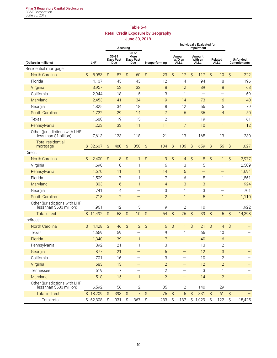# **Table 5-4 Retail Credit Exposure by Geography June 30, 2019**

|                                                            |                     |                       |                     |                           | Accruing                  |                                   |                     |                |                     | Individually Evaluated for      |                     |                                  |           |                          |                           |                         |
|------------------------------------------------------------|---------------------|-----------------------|---------------------|---------------------------|---------------------------|-----------------------------------|---------------------|----------------|---------------------|---------------------------------|---------------------|----------------------------------|-----------|--------------------------|---------------------------|-------------------------|
| (Dollars in millions)                                      |                     | LHFI                  |                     | 30-89<br>Days Past<br>Due |                           | 90 or<br>More<br>Days Past<br>Due |                     | Nonperforming  |                     | Amount<br>W/O an<br><b>ALLL</b> |                     | Amount<br>With an<br><b>ALLL</b> |           | Related<br><b>ALLL</b>   |                           | Unfunded<br>Commitments |
| Residential mortgage:                                      |                     |                       |                     |                           |                           |                                   |                     |                |                     |                                 |                     |                                  |           |                          |                           |                         |
| <b>North Carolina</b>                                      | Ŝ                   | 5,083                 | \$                  | 87                        | $\hat{S}$                 | 60                                | $\mathsf{S}$        | 23             | $\hat{\mathcal{S}}$ | 17                              | \$                  | 117                              | \$        | 10                       | \$                        | 222                     |
| Florida                                                    |                     | 4,107                 |                     | 43                        |                           | 43                                |                     | 12             |                     | 14                              |                     | 94                               |           | 8                        |                           | 196                     |
| Virginia                                                   |                     | 3,957                 |                     | 53                        |                           | 32                                |                     | 8              |                     | 12                              |                     | 89                               |           | 8                        |                           | 68                      |
| California                                                 |                     | 2,944                 |                     | 18                        |                           | 5                                 |                     | 3              |                     | $\mathbf{1}$                    |                     |                                  |           |                          |                           | 69                      |
| Maryland                                                   |                     | 2,453                 |                     | 41                        |                           | 34                                |                     | 9              |                     | 14                              |                     | 73                               |           | 6                        |                           | 40                      |
| Georgia                                                    |                     | 1,825                 |                     | 34                        |                           | 18                                |                     | 8              |                     | 12                              |                     | 56                               |           | 5                        |                           | 79                      |
| South Carolina                                             |                     | 1,722                 |                     | 29                        |                           | 14                                |                     | $\overline{7}$ |                     | 6                               |                     | 36                               |           | $\overline{4}$           |                           | 50                      |
| Texas                                                      |                     | 1,680                 |                     | 19                        |                           | 15                                |                     | $\mathbf{2}$   |                     | $\overline{\phantom{0}}$        |                     | 19                               |           | 1                        |                           | 61                      |
| Pennsylvania                                               |                     | 1,223                 |                     | 33                        |                           | 11                                |                     | 11             |                     | 17                              |                     | 10                               |           | $\mathbf{1}$             |                           | 12                      |
| Other (jurisdictions with LHFI<br>less than \$1 billion)   |                     | 7,613                 |                     | 123                       |                           | 118                               |                     | 21             |                     | 13                              |                     | 165                              |           | 13                       |                           | 230                     |
| <b>Total residential</b><br>mortgage                       | \$                  | 32,607                | \$                  | 480                       | $\boldsymbol{\mathsf{S}}$ | 350                               | \$                  | 104            | \$                  | 106                             | \$                  | 659                              | \$        | 56                       | \$                        | 1,027                   |
| Direct:                                                    |                     |                       |                     |                           |                           |                                   |                     |                |                     |                                 |                     |                                  |           |                          |                           |                         |
| <b>North Carolina</b>                                      | Ŝ                   | 2,400                 | \$                  | 8                         | \$                        | 1                                 | \$                  | 9              | \$                  | $\overline{4}$                  | \$                  | 8                                | $\hat{S}$ | 1                        | \$                        | 3,977                   |
| Virginia                                                   |                     | 1,690                 |                     | 8                         |                           | 1                                 |                     | 6              |                     | 3                               |                     | 5                                |           | 1                        |                           | 2,509                   |
| Pennsylvania                                               |                     | 1,670                 |                     | 11                        |                           | $\mathbf{1}$                      |                     | 14             |                     | 6                               |                     | $\overline{\phantom{0}}$         |           | —                        |                           | 1,694                   |
| Florida                                                    |                     | 1,509                 |                     | 7                         |                           | $\mathbf{1}$                      |                     | 7              |                     | 6                               |                     | 5                                |           | 1                        |                           | 1,561                   |
| Maryland                                                   |                     | 803                   |                     | 6                         |                           | $\mathbf{1}$                      |                     | $\overline{4}$ |                     | 3                               |                     | 3                                |           | —                        |                           | 924                     |
| Georgia                                                    |                     | 741                   |                     | 4                         |                           | $\overline{\phantom{0}}$          |                     | 3              |                     | $\mathbf{1}$                    |                     | 3                                |           | $\overline{\phantom{0}}$ |                           | 701                     |
| South Carolina                                             |                     | 718                   |                     | $\overline{2}$            |                           |                                   |                     | $\overline{2}$ |                     | $\mathbf{1}$                    |                     | 5                                |           | $\mathbf{1}$             |                           | 1,110                   |
| Other (jurisdictions with LHFI<br>less than \$500 million) |                     | 1,961                 |                     | 12                        |                           | 5                                 |                     | 9              |                     | $\mathbf{2}$                    |                     | 10                               |           | 1                        |                           | 1,922                   |
| <b>Total direct</b>                                        | $\hat{\mathcal{S}}$ | 11,492                | $\mathsf{S}$        | 58                        | $\hat{S}$                 | 10                                | $\hat{S}$           | 54             | $\hat{S}$           | 26                              | \$                  | 39                               | \$        | 5                        | $\hat{S}$                 | 14,398                  |
| Indirect:                                                  |                     |                       |                     |                           |                           |                                   |                     |                |                     |                                 |                     |                                  |           |                          |                           |                         |
| North Carolina                                             | \$                  | 4,428                 | $\hat{S}$           | 46                        | $\hat{S}$                 | $\overline{2}$                    | $\mathsf{S}$        | 6              | $\hat{S}$           | $\mathbf{1}$                    | \$                  | 21                               | \$        | $\overline{4}$           | \$                        |                         |
| Texas                                                      |                     | 1,659                 |                     | 59                        |                           |                                   |                     | 9              |                     | 1                               |                     | 66                               |           | 10                       |                           |                         |
| Florida                                                    |                     | 1,340                 |                     | 39                        |                           | $\mathbf{1}$                      |                     | $\overline{7}$ |                     | —                               |                     | 40                               |           | 6                        |                           |                         |
| Pennsylvania                                               |                     | 892                   |                     | 21                        |                           | 1                                 |                     | 3              |                     | 1                               |                     | 13                               |           | $\overline{2}$           |                           |                         |
| Georgia                                                    |                     | 877                   |                     | 21                        |                           |                                   |                     | $\sigma$       |                     | -                               |                     | 12                               |           | 3                        |                           |                         |
| California                                                 |                     | 701                   |                     | 16                        |                           | $\qquad \qquad -$                 |                     | 3              |                     | $\overline{\phantom{0}}$        |                     | 10                               |           | $\overline{2}$           |                           |                         |
| Virginia                                                   |                     | 683                   |                     | 13                        |                           | —                                 |                     | $\overline{2}$ |                     | $\qquad \qquad -$               |                     | 12                               |           | $\overline{2}$           |                           |                         |
| Tennessee                                                  |                     | 519                   |                     | $\overline{7}$            |                           |                                   |                     | $\mathbf{2}$   |                     |                                 |                     | 3                                |           | 1                        |                           |                         |
| Maryland                                                   |                     | 518                   |                     | 15                        |                           | $\mathbf{1}$                      |                     | $\overline{2}$ |                     | -                               |                     | 14                               |           | $\overline{2}$           |                           |                         |
| Other (jurisdictions with LHFI<br>less than \$500 million) |                     | 6,592                 |                     | 156                       |                           | $\mathbf{2}$                      |                     | 35             |                     | $\mathbf{2}$                    |                     | 140                              |           | 29                       |                           |                         |
| <b>Total indirect</b>                                      |                     | \$18,209              | $\hat{\mathcal{S}}$ | 393                       | $\hat{S}$                 | $\overline{7}$                    | $\hat{\mathcal{S}}$ | 75             | $\hat{S}$           | 5                               | $\hat{\mathcal{S}}$ | 331                              | $\hat{S}$ | 61                       | \$                        |                         |
| Total retail                                               |                     | $\overline{$}$ 62,308 | \$                  | 931                       | \$                        | 367                               | \$                  | 233            | \$                  | 137                             |                     | \$1,029                          | \$        | 122                      | $\boldsymbol{\mathsf{S}}$ | 15,425                  |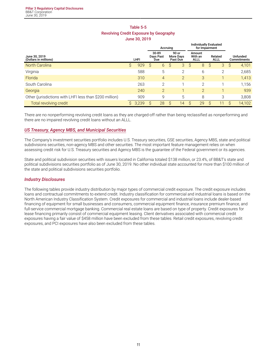# **Table 5-5 Revolving Credit Exposure by Geography**

**June 30, 2019**

|                                                         |      |       |   | Accruing       |   |                |              | <b>Individually Evaluated</b><br>for Impairment |              |                                  |   |                                              |                           |  |                        |  |  |                                |
|---------------------------------------------------------|------|-------|---|----------------|---|----------------|--------------|-------------------------------------------------|--------------|----------------------------------|---|----------------------------------------------|---------------------------|--|------------------------|--|--|--------------------------------|
| June 30, 2019<br>(Dollars in millions)                  | LHFI |       |   |                |   |                |              |                                                 |              | 30-89<br><b>Davs Past</b><br>Due |   | 90 or<br><b>More Days</b><br><b>Past Due</b> | Amount<br>With an<br>ALLL |  | Related<br><b>ALLL</b> |  |  | Unfunded<br><b>Commitments</b> |
| <b>North Carolina</b>                                   | Ŝ.   | 929   | Ŝ | 6              | Ŝ | 3              | <sub>S</sub> | 8                                               | <sub>S</sub> | 3                                | S | 4,101                                        |                           |  |                        |  |  |                                |
| Virginia                                                |      | 588   |   | 5              |   | 2              |              | 6                                               |              | 2                                |   | 2,685                                        |                           |  |                        |  |  |                                |
| Florida                                                 |      | 310   |   | 4              |   | $\overline{2}$ |              | 3                                               |              |                                  |   | 1,413                                        |                           |  |                        |  |  |                                |
| South Carolina                                          |      | 263   |   | 2              |   |                |              | $\overline{2}$                                  |              |                                  |   | 1,156                                        |                           |  |                        |  |  |                                |
| Georgia                                                 |      | 240   |   | $\overline{2}$ |   |                |              | $\overline{2}$                                  |              |                                  |   | 939                                          |                           |  |                        |  |  |                                |
| Other (jurisdictions with LHFI less than \$200 million) |      | 909   |   | 9              |   | 5              |              | 8                                               |              | 3                                |   | 3,808                                        |                           |  |                        |  |  |                                |
| Total revolving credit                                  | S.   | 3,239 | S | 28             | S | 14             | S            | 29                                              | S            |                                  | S | 14,102                                       |                           |  |                        |  |  |                                |

There are no nonperforming revolving credit loans as they are charged-off rather than being reclassified as nonperforming and there are no impaired revolving credit loans without an ALLL.

#### *US Treasury, Agency MBS, and Municipal Securities*

The Company's investment securities portfolio includes U.S. Treasury securities, GSE securities, Agency MBS, state and political subdivisions securities, non-agency MBS and other securities. The most important feature management relies on when assessing credit risk for U.S. Treasury securities and Agency MBS is the guarantee of the Federal government or its agencies.

State and political subdivision securities with issuers located in California totaled \$138 million, or 23.4%, of BB&T's state and political subdivisions securities portfolio as of June 30, 2019. No other individual state accounted for more than \$100 million of the state and political subdivisions securities portfolio.

#### *Industry Disclosures*

The following tables provide industry distribution by major types of commercial credit exposure. The credit exposure includes loans and contractual commitments to extend credit. Industry classification for commercial and industrial loans is based on the North American Industry Classification System. Credit exposures for commercial and industrial loans include dealer-based financing of equipment for small businesses and consumers, commercial equipment finance, insurance premium finance, and full-service commercial mortgage banking. Commercial real estate loans are based on type of property. Credit exposures for lease financing primarily consist of commercial equipment leasing. Client derivatives associated with commercial credit exposures having a fair value of \$458 million have been excluded from these tables. Retail credit exposures, revolving credit exposures, and PCI exposures have also been excluded from these tables.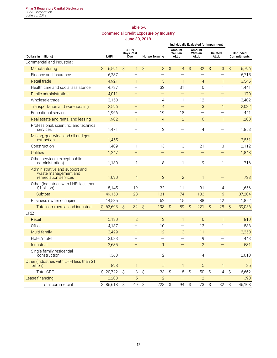# **Table 5-6 Commercial Credit Exposure by Industry June 30, 2019**

|                                                                                |   |          |           |                           |                     |                          | Individually Evaluated for Impairment |                                 |           |                                  |               |                           |                         |        |  |
|--------------------------------------------------------------------------------|---|----------|-----------|---------------------------|---------------------|--------------------------|---------------------------------------|---------------------------------|-----------|----------------------------------|---------------|---------------------------|-------------------------|--------|--|
| (Dollars in millions)                                                          |   | LHFI     |           | 30-89<br>Days Past<br>Due |                     | Nonperforming            |                                       | Amount<br>W/O an<br><b>ALLL</b> |           | Amount<br>With an<br><b>ALLL</b> |               | Related<br>ALLL           | Unfunded<br>Commitments |        |  |
| Commercial and industrial:                                                     |   |          |           |                           |                     |                          |                                       |                                 |           |                                  |               |                           |                         |        |  |
| Manufacturing                                                                  | Ŝ | 6,591    | \$        | $\mathbf{1}$              | \$                  | 8                        | $\hat{S}$                             | $\overline{4}$                  | \$        | 32                               | $\mathcal{S}$ | 3                         | $\mathcal{S}$           | 6,796  |  |
| Finance and insurance                                                          |   | 6,287    |           |                           |                     |                          |                                       |                                 |           |                                  |               |                           |                         | 6,715  |  |
| Retail trade                                                                   |   | 4,921    |           | $\mathbf{1}$              |                     | 3                        |                                       | 1                               |           | $\overline{4}$                   |               | $\mathbf{1}$              |                         | 3,545  |  |
| Health care and social assistance                                              |   | 4,787    |           |                           |                     | 32                       |                                       | 31                              |           | 10                               |               | 1                         |                         | 1,441  |  |
| Public administration                                                          |   | 4,011    |           |                           |                     | $\overline{\phantom{0}}$ |                                       | $\qquad \qquad -$               |           |                                  |               | $\qquad \qquad -$         |                         | 170    |  |
| Wholesale trade                                                                |   | 3,150    |           |                           |                     | $\overline{4}$           |                                       | 1                               |           | 12                               |               | 1                         |                         | 3,402  |  |
| Transportation and warehousing                                                 |   | 2,596    |           |                           |                     | $\overline{4}$           |                                       | $\qquad \qquad -$               |           | 3                                |               | $\mathbf{1}$              |                         | 2,032  |  |
| <b>Educational services</b>                                                    |   | 1,966    |           |                           |                     | 19                       |                                       | 18                              |           | $\overline{\phantom{0}}$         |               | <u>—</u>                  |                         | 441    |  |
| Real estate and rental and leasing                                             |   | 1,902    |           | $\mathbf{1}$              |                     | $\overline{4}$           |                                       | $\overline{2}$                  |           | 6                                |               | $\mathbf{1}$              |                         | 1,203  |  |
| Professional, scientific, and technical<br>services                            |   | 1,471    |           |                           |                     | $\mathbf{2}$             |                                       |                                 |           | 4                                |               |                           |                         | 1,853  |  |
| Mining, quarrying, and oil and gas<br>extraction                               |   | 1,455    |           | $\qquad \qquad -$         |                     |                          |                                       |                                 |           |                                  |               |                           |                         | 2,551  |  |
| Construction                                                                   |   | 1,409    |           | 1                         |                     | 13                       |                                       | 3                               |           | 21                               |               | $\ensuremath{\mathsf{3}}$ |                         | 2,112  |  |
| <b>Utilities</b>                                                               |   | 1,247    |           | -                         |                     |                          |                                       |                                 |           | $\qquad \qquad -$                |               |                           |                         | 1,848  |  |
| Other services (except public<br>administration)                               |   | 1,130    |           | $\mathbf{1}$              |                     | 8                        |                                       | 1                               |           | 9                                |               | 1                         |                         | 716    |  |
| Administrative and support and<br>waste management and<br>remediation services |   | 1,090    |           | $\overline{4}$            |                     | $\overline{2}$           |                                       | $\overline{2}$                  |           | $\mathbf{1}$                     |               |                           |                         | 723    |  |
| Other (industries with LHFI less than<br>\$1 billion)                          |   | 5,145    |           | 19                        |                     | 32                       |                                       | 11                              |           | 31                               |               | 4                         |                         | 1,656  |  |
| Subtotal                                                                       |   | 49,158   |           | 28                        |                     | 131                      |                                       | 74                              |           | 133                              |               | 16                        |                         | 37,204 |  |
| Business owner occupied                                                        |   | 14,535   |           | 4                         |                     | 62                       |                                       | 15                              |           | 88                               |               | 12                        |                         | 1,852  |  |
| Total commercial and industrial                                                |   | \$63,693 | $\hat{S}$ | 32                        | $\hat{\mathcal{S}}$ | 193                      | $\hat{S}$                             | 89                              | $\hat{S}$ | 221                              | $\hat{S}$     | 28                        | $\hat{S}$               | 39,056 |  |
| CRE:                                                                           |   |          |           |                           |                     |                          |                                       |                                 |           |                                  |               |                           |                         |        |  |
| Retail                                                                         |   | 5,180    |           | $\overline{2}$            |                     | 3                        |                                       | $\mathbf{1}$                    |           | 6                                |               | $\mathbf{1}$              |                         | 810    |  |
| Office                                                                         |   | 4,137    |           |                           |                     | 10                       |                                       |                                 |           | 12                               |               | 1                         |                         | 533    |  |
| Multi-family                                                                   |   | 3,429    |           | $\qquad \qquad -$         |                     | 12                       |                                       | 3                               |           | 11                               |               | $\qquad \qquad -$         |                         | 2,250  |  |
| Hotel/motel                                                                    |   | 3,083    |           |                           |                     |                          |                                       |                                 |           | 9                                |               |                           |                         | 443    |  |
| Industrial                                                                     |   | 2,635    |           |                           |                     | 1                        |                                       |                                 |           | 3                                |               |                           |                         | 531    |  |
| Single family residential -<br>construction                                    |   | 1,360    |           |                           |                     | $\mathbf{2}$             |                                       |                                 |           | $\overline{4}$                   |               | 1                         |                         | 2,010  |  |
| Other (industries with LHFI less than \$1<br>billion)                          |   | 898      |           | $\mathbf{1}$              |                     | $\overline{5}$           |                                       | 1                               |           | $\sqrt{5}$                       |               | $\mathbf{1}$              |                         | 85     |  |
| <b>Total CRE</b>                                                               |   | \$20,722 | $\hat{S}$ | $\ensuremath{\mathsf{3}}$ | \$                  | 33                       | \$                                    | 5                               | \$        | 50                               | \$            | $\overline{4}$            | \$                      | 6,662  |  |
| Lease financing                                                                |   | 2,203    |           | 5                         |                     | $\overline{2}$           |                                       |                                 |           | $\overline{2}$                   |               |                           |                         | 390    |  |
| Total commercial                                                               |   | \$86,618 | \$        | 40                        | \$                  | 228                      | \$                                    | 94                              | \$        | 273                              | \$            | 32                        | $\hat{\mathcal{S}}$     | 46,108 |  |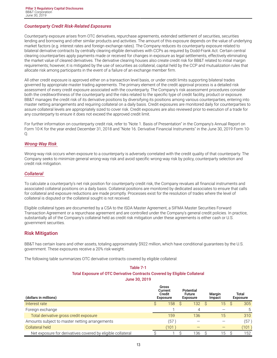# <span id="page-14-0"></span>*Counterparty Credit Risk-Related Exposures*

Counterparty exposure arises from OTC derivatives, repurchase agreements, extended settlement of securities, securities lending and borrowing and other similar products and activities. The amount of this exposure depends on the value of underlying market factors (e.g. interest rates and foreign exchange rates). The Company reduces its counterparty exposure related to bilateral derivative contracts by centrally clearing eligible derivatives with CCPs as required by Dodd-Frank Act. Certain central clearing counterparties apply payments made or received for changes in exposure as legal settlements, effectively eliminating the market value of cleared derivatives. The derivative clearing houses also create credit risk for BB&T related to initial margin requirements; however, it is mitigated by the use of securities as collateral, capital held by the CCP and mutualization rules that allocate risk among participants in the event of a failure of an exchange member firm.

All other credit exposure is approved either on a transaction level basis, or under credit limits supporting bilateral trades governed by appropriate master trading agreements. The primary element of the credit approval process is a detailed risk assessment of every credit exposure associated with the counterparty. The Company's risk assessment procedures consider both the creditworthiness of the counterparty and the risks related to the specific type of credit facility, product or exposure. BB&T manages the credit risk of its derivative positions by diversifying its positions among various counterparties, entering into master netting arrangements and requiring collateral on a daily basis. Credit exposures are monitored daily for counterparties to assure collateral levels are appropriately sized to cover risk. Credit exposures are also reviewed prior to execution of a trade for any counterparty to ensure it does not exceed the approved credit limit.

For further information on counterparty credit risk, refer to "Note 1. Basis of Presentation" in the Company's Annual Report on Form 10-K for the year ended December 31, 2018 and "Note 16. Derivative Financial Instruments" in the June 30, 2019 Form 10-  $O<sub>1</sub>$ 

#### *Wrong-Way Risk*

Wrong-way risk occurs when exposure to a counterparty is adversely correlated with the credit quality of that counterparty. The Company seeks to minimize general wrong-way risk and avoid specific wrong-way risk by policy, counterparty selection and credit risk mitigation.

#### *Collateral*

To calculate a counterparty's net risk position for counterparty credit risk, the Company revalues all financial instruments and associated collateral positions on a daily basis. Collateral positions are monitored by dedicated associates to ensure that calls for collateral and exposure reductions are made promptly. Processes exist for the resolution of trades where the level of collateral is disputed or the collateral sought is not received.

Eligible collateral types are documented by a CSA to the ISDA Master Agreement, a SIFMA Master Securities Forward Transaction Agreement or a repurchase agreement and are controlled under the Company's general credit policies. In practice, substantially all of the Company's collateral held as credit risk mitigation under these agreements is either cash or U.S. government securities.

# **Risk Mitigation**

BB&T has certain loans and other assets, totaling approximately \$922 million, which have conditional guarantees by the U.S. government. These exposures receive a 20% risk-weight.

The following table summarizes OTC derivative contracts covered by eligible collateral:

# **Table 7-1 Total Exposure of OTC Derivative Contracts Covered by Eligible Collateral June 30, 2019**

| (dollars in millions)                                       | Gross<br>Current<br>Credit<br><b>Exposure</b> | Potential<br><b>Future</b><br><b>Exposure</b> |     | Margin<br>Impact | Total<br><b>Exposure</b> |
|-------------------------------------------------------------|-----------------------------------------------|-----------------------------------------------|-----|------------------|--------------------------|
| Interest rate                                               | 158                                           |                                               | 132 | 15               | 305                      |
| Foreign exchange                                            |                                               |                                               |     |                  | 5                        |
| Total derivative gross credit exposure                      | 159                                           |                                               | 136 | 15               | 310                      |
| Amounts subject to master netting arrangements              | (57                                           |                                               |     |                  | (57)                     |
| Collateral held                                             | (101)                                         |                                               |     |                  | (101)                    |
| Net exposure for derivatives covered by eligible collateral |                                               |                                               | 136 | 15               | 152                      |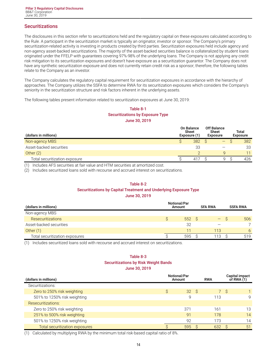# <span id="page-15-0"></span>**Securitizations**

The disclosures in this section refer to securitizations held and the regulatory capital on these exposures calculated according to the Rule. A participant in the securitization market is typically an originator, investor or sponsor. The Company's primary securitization-related activity is investing in products created by third parties. Securitization exposures held include agency and non-agency asset-backed securitizations. The majority of the asset-backed securities balance is collateralized by student loans originated under the FFELP with guarantees covering 97%-98% of the underlying loans. The Company is not applying any credit risk mitigation to its securitization exposures and doesn't have exposure as a securitization guarantor. The Company does not have any synthetic securitization exposure and does not currently retain credit risk as a sponsor; therefore, the following tables relate to the Company as an investor.

The Company calculates the regulatory capital requirement for securitization exposures in accordance with the hierarchy of approaches. The Company utilizes the SSFA to determine RWA for its securitization exposures which considers the Company's seniority in the securitization structure and risk factors inherent in the underlying assets.

The following tables present information related to securitization exposures at June 30, 2019:

# **Table 8-1 Securitizations by Exposure Type June 30, 2019**

| (dollars in millions)         | <b>On Balance</b><br><b>Sheet</b><br>Exposure (1) | <b>Off Balance</b><br>Sheet<br><b>Exposure</b> | Total<br><b>Exposure</b> |     |  |
|-------------------------------|---------------------------------------------------|------------------------------------------------|--------------------------|-----|--|
| Non-agency MBS                | 382                                               | —                                              |                          | 382 |  |
| Asset-backed securities       | 33                                                |                                                |                          | 33  |  |
| Other $(2)$                   |                                                   | Q                                              |                          | 11  |  |
| Total securitization exposure | 417                                               | Q                                              |                          | 426 |  |

(1) Includes AFS securities at fair value and HTM securities at amortized cost.

(2) Includes securitized loans sold with recourse and accrued interest on securitizations.

#### **Table 8-2**

# **Securitizations by Capital Treatment and Underlying Exposure Type**

**June 30, 2019**

| (dollars in millions)          | <b>Notional/Par</b><br>Amount | <b>SFA RWA</b> | <b>SSFA RWA</b> |
|--------------------------------|-------------------------------|----------------|-----------------|
| Non-agency MBS                 |                               |                |                 |
| Resecuritizations              | 552 <sup>°</sup>              | —              | 506             |
| Asset-backed securities        | 32                            |                | $\overline{7}$  |
| Other $(1)$                    | 11                            | 113            | 6               |
| Total securitization exposures | 595                           | 113            | 519             |

(1) Includes securitized loans sold with recourse and accrued interest on securitizations.

# **Table 8-3 Securitizations by Risk Weight Bands June 30, 2019**

| (dollars in millions)          | <b>Notional/Par</b><br>Amount | <b>RWA</b>            | Capital impact<br>of RWA $(1)$ |  |
|--------------------------------|-------------------------------|-----------------------|--------------------------------|--|
| Securitizations:               |                               |                       |                                |  |
| Zero to 250% risk weighting    | S.<br>32 <sup>2</sup>         | 7 <sup>1</sup><br>- S | <sub>S</sub>                   |  |
| 501% to 1250% risk weighting   | 9                             | 113                   | 9                              |  |
| Resecuritizations:             |                               |                       |                                |  |
| Zero to 250% risk weighting    | 371                           | 161                   | 13                             |  |
| 251% to 500% risk weighting    | 91                            | 178                   | 14                             |  |
| 501% to 1250% risk weighting   | 92                            | 173                   | 14                             |  |
| Total securitization exposures | 595                           | 632                   | 51<br>S.                       |  |

(1) Calculated by multiplying RWA by the minimum total risk-based capital ratio of 8%.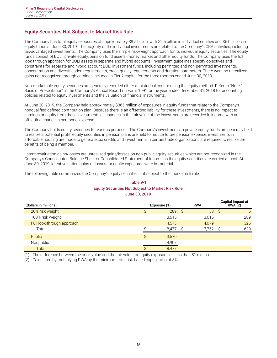# <span id="page-16-0"></span>**Equity Securities Not Subject to Market Risk Rule**

The Company has total equity exposures of approximately \$8.5 billion, with \$2.5 billion in individual equities and \$6.0 billion in equity funds at June 30, 2019. The majority of the individual investments are related to the Company's CRA activities, including tax-advantaged investments. The Company uses the simple risk-weight approach for its individual equity securities. The equity funds consist of BOLI, private equity, pension fund assets, money market and other equity funds. The Company uses the full look-through approach for BOLI assets in separate and hybrid accounts. Investment guidelines specify objectives and constraints for separate and hybrid account BOLI investment funds, including permitted and non-permitted investments, concentration and diversification requirements, credit quality requirements and duration parameters. There were no unrealized gains not recognized through earnings included in Tier 2 capital for the three months ended June 30, 2019.

Non-marketable equity securities are generally recorded either at historical cost or using the equity method. Refer to "Note 1. Basis of Presentation" in the Company's Annual Report on Form 10-K for the year ended December 31, 2018 for accounting policies related to equity investments and the valuation of financial instruments.

At June 30, 2019, the Company held approximately \$365 million of exposures in equity funds that relate to the Company's nonqualified defined contribution plan. Because there is an offsetting liability for these investments, there is no impact to earnings or equity from these investments as changes in the fair value of the investments are recorded in income with an offsetting change in personnel expense.

The Company holds equity securities for various purposes. The Company's investments in private equity funds are generally held to realize a potential profit, equity securities in pension plans are held to reduce future pension expense, investments in affordable housing are made to generate tax credits and investments in certain trade organizations are required to realize the benefits of being a member.

Latent revaluation gains/losses are unrealized gains/losses on non-public equity securities which are not recognized in the Company's Consolidated Balance Sheet or Consolidated Statement of Income as the equity securities are carried at cost. At June 30, 2019, latent valuation gains or losses for equity exposures were immaterial.

The following table summarizes the Company's equity securities not subject to the market risk rule:

# **Table 9-1 Equity Securities Not Subject to Market Risk Rule June 30, 2019**

| (dollars in millions)      |    | Exposure (1) |    | <b>RWA</b> |      | Capital impact of<br>RWA(2) |
|----------------------------|----|--------------|----|------------|------|-----------------------------|
| 20% risk weight            |    | 289          | S. | 58         | - \$ | 5                           |
| 100% risk weight           |    | 3,615        |    | 3,615      |      | 289                         |
| Full look-through approach |    | 4,573        |    | 4,079      |      | 326                         |
| Total                      |    | 8.477        |    | 7.752      |      | 620                         |
| <b>Public</b>              | Ŝ. | 3,570        |    |            |      |                             |
| Nonpublic                  |    | 4,907        |    |            |      |                             |
| Total                      |    | 8,477        |    |            |      |                             |

(1) The difference between the book value and the fair value for equity exposures is less than \$1 million.

(2) Calculated by multiplying RWA by the minimum total risk-based capital ratio of 8%.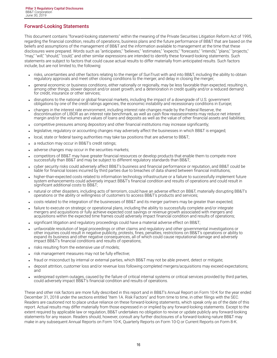# <span id="page-17-0"></span>**Forward-Looking Statements**

This document contains "forward-looking statements" within the meaning of the Private Securities Litigation Reform Act of 1995, regarding the financial condition, results of operations, business plans and the future performance of BB&T that are based on the beliefs and assumptions of the management of BB&T and the information available to management at the time that these disclosures were prepared. Words such as "anticipates," "believes," "estimates," "expects," "forecasts," "intends," "plans," "projects," "may," "will," "should," "could," and other similar expressions are intended to identify these forward-looking statements. Such statements are subject to factors that could cause actual results to differ materially from anticipated results. Such factors include, but are not limited to, the following:

- risks, uncertainties and other factors relating to the merger of SunTrust with and into BB&T, including the ability to obtain regulatory approvals and meet other closing conditions to the merger, and delay in closing the merger;
- general economic or business conditions, either nationally or regionally, may be less favorable than expected, resulting in, among other things, slower deposit and/or asset growth, and a deterioration in credit quality and/or a reduced demand for credit, insurance or other services;
- disruptions to the national or global financial markets, including the impact of a downgrade of U.S. government obligations by one of the credit ratings agencies, the economic instability and recessionary conditions in Europe;
- <sup>l</sup> changes in the interest rate environment, including interest rate changes made by the Federal Reserve, the discontinuation of LIBOR as an interest rate benchmark, as well as cash flow reassessments may reduce net interest margin and/or the volumes and values of loans and deposits as well as the value of other financial assets and liabilities;
- <sup>l</sup> competitive pressures among depository and other financial institutions may increase significantly;
- legislative, regulatory or accounting changes may adversely affect the businesses in which BB&T is engaged;
- local, state or federal taxing authorities may take tax positions that are adverse to BB&T;
- a reduction may occur in BB&T's credit ratings;
- adverse changes may occur in the securities markets;
- competitors of BB&T may have greater financial resources or develop products that enable them to compete more successfully than BB&T and may be subject to different regulatory standards than BB&T;
- cyber security risks could adversely affect BB&T's business and financial performance or reputation, and BB&T could be liable for financial losses incurred by third parties due to breaches of data shared between financial institutions;
- higher-than-expected costs related to information technology infrastructure or a failure to successfully implement future system enhancements could adversely impact BB&T's financial condition and results of operations and could result in significant additional costs to BB&T;
- natural or other disasters, including acts of terrorism, could have an adverse effect on BB&T, materially disrupting BB&T's operations or the ability or willingness of customers to access BB&T's products and services;
- costs related to the integration of the businesses of BB&T and its merger partners may be greater than expected;
- failure to execute on strategic or operational plans, including the ability to successfully complete and/or integrate mergers and acquisitions or fully achieve expected cost savings or revenue growth associated with mergers and acquisitions within the expected time frames could adversely impact financial condition and results of operations;
- significant litigation and regulatory proceedings could have a material adverse effect on BB&T;
- unfavorable resolution of legal proceedings or other claims and regulatory and other governmental investigations or other inquiries could result in negative publicity, protests, fines, penalties, restrictions on BB&T's operations or ability to expand its business and other negative consequences, all of which could cause reputational damage and adversely impact BB&T's financial conditions and results of operations;
- . risks resulting from the extensive use of models;
- risk management measures may not be fully effective;
- fraud or misconduct by internal or external parties, which BB&T may not be able prevent, detect or mitigate;
- deposit attrition, customer loss and/or revenue loss following completed mergers/acquisitions may exceed expectations; and
- widespread system outages, caused by the failure of critical internal systems or critical services provided by third parties, could adversely impact BB&T's financial condition and results of operations.

These and other risk factors are more fully described in this report and in BB&T's Annual Report on Form 10-K for the year ended December 31, 2018 under the sections entitled "Item 1A. Risk Factors" and from time to time, in other filings with the SEC. Readers are cautioned not to place undue reliance on these forward-looking statements, which speak only as of the date of this report. Actual results may differ materially from those expressed in or implied by any forward-looking statements. Except to the extent required by applicable law or regulation, BB&T undertakes no obligation to revise or update publicly any forward-looking statements for any reason. Readers should, however, consult any further disclosures of a forward-looking nature BB&T may make in any subsequent Annual Reports on Form 10-K, Quarterly Reports on Form 10-Q or Current Reports on Form 8-K.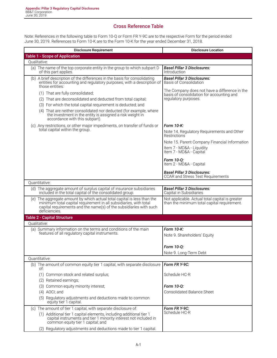# **Cross Reference Table**

<span id="page-18-0"></span>Note: References in the following table to Form 10-Q or Form FR Y-9C are to the respective Form for the period ended June 30, 2019. References to Form 10-K are to the Form 10-K for the year ended December 31, 2018.

| <b>Disclosure Requirement</b>                                                                                                                                                                                                                                                                                                         | <b>Disclosure Location</b>                                                                                         |
|---------------------------------------------------------------------------------------------------------------------------------------------------------------------------------------------------------------------------------------------------------------------------------------------------------------------------------------|--------------------------------------------------------------------------------------------------------------------|
| <b>Table 1 - Scope of Application</b>                                                                                                                                                                                                                                                                                                 |                                                                                                                    |
| Oualitative:                                                                                                                                                                                                                                                                                                                          |                                                                                                                    |
| (a) The name of the top corporate entity in the group to which subpart D<br>of this part applies.                                                                                                                                                                                                                                     | <b>Basel Pillar 3 Disclosures:</b><br>Introduction                                                                 |
| (b) A brief description of the differences in the basis for consolidating<br>entities for accounting and regulatory purposes, with a description of<br>those entities:                                                                                                                                                                | <b>Basel Pillar 3 Disclosures:</b><br><b>Basis of Consolidation</b>                                                |
| (1) That are fully consolidated;<br>(2) That are deconsolidated and deducted from total capital;<br>(3) For which the total capital requirement is deducted; and<br>(4) That are neither consolidated nor deducted (for example, where<br>the investment in the entity is assigned a risk weight in<br>accordance with this subpart). | The Company does not have a difference in the<br>basis of consolidation for accounting and<br>regulatory purposes. |
| (c) Any restrictions, or other major impediments, on transfer of funds or<br>total capital within the group.                                                                                                                                                                                                                          | Form 10-K:<br>Note 14. Regulatory Requirements and Other<br>Restrictions                                           |
|                                                                                                                                                                                                                                                                                                                                       | Note 15. Parent Company Financial Information<br>Item 7 - MD&A - Liquidity<br>Item 7 - MD&A - Capital              |
|                                                                                                                                                                                                                                                                                                                                       | Form 10-Q:<br>Item 2 - MD&A - Capital                                                                              |
|                                                                                                                                                                                                                                                                                                                                       | <b>Basel Pillar 3 Disclosures:</b><br><b>CCAR and Stress Test Requirements</b>                                     |
| Quantitative:                                                                                                                                                                                                                                                                                                                         |                                                                                                                    |
| (d) The aggregate amount of surplus capital of insurance subsidiaries<br>included in the total capital of the consolidated group.                                                                                                                                                                                                     | <b>Basel Pillar 3 Disclosures:</b><br>Capital in Subsidiaries                                                      |
| (e) The aggregate amount by which actual total capital is less than the<br>minimum total capital requirement in all subsidiaries, with total<br>capital requirements and the name(s) of the subsidiaries with such<br>deficiencies.                                                                                                   | Not applicable. Actual total capital is greater<br>than the minimum total capital requirement.                     |
| <b>Table 2 - Capital Structure</b>                                                                                                                                                                                                                                                                                                    |                                                                                                                    |
| Oualitative:                                                                                                                                                                                                                                                                                                                          |                                                                                                                    |
| (a) Summary information on the terms and conditions of the main<br>features of all regulatory capital instruments.                                                                                                                                                                                                                    | Form 10-K:<br>Note 9. Shareholders' Equity                                                                         |
|                                                                                                                                                                                                                                                                                                                                       | Form 10-0:<br>Note 9. Long-Term Debt                                                                               |
| Quantitative:                                                                                                                                                                                                                                                                                                                         |                                                                                                                    |
| (b) The amount of common equity tier 1 capital, with separate disclosure<br>of:                                                                                                                                                                                                                                                       | Form FR Y-9C:                                                                                                      |
| (1) Common stock and related surplus;<br>(2) Retained earnings;                                                                                                                                                                                                                                                                       | Schedule HC-R                                                                                                      |
| (3) Common equity minority interest;                                                                                                                                                                                                                                                                                                  | Form 10-Q:                                                                                                         |
| (4) AOCI; and                                                                                                                                                                                                                                                                                                                         | <b>Consolidated Balance Sheet</b>                                                                                  |
| (5) Regulatory adjustments and deductions made to common<br>equity tier 1 capital.                                                                                                                                                                                                                                                    |                                                                                                                    |
| (c) The amount of tier 1 capital, with separate disclosure of:                                                                                                                                                                                                                                                                        | Form FR Y-9C:                                                                                                      |
| (1) Additional tier 1 capital elements, including additional tier 1<br>capital instruments and tier 1 minority interest not included in<br>common equity tier 1 capital; and                                                                                                                                                          | Schedule HC-R                                                                                                      |
| (2) Regulatory adjustments and deductions made to tier 1 capital.                                                                                                                                                                                                                                                                     |                                                                                                                    |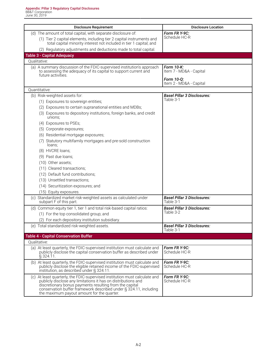| <b>Disclosure Requirement</b>                                                                                                                                                                                                                                                                                             | <b>Disclosure Location</b>                          |
|---------------------------------------------------------------------------------------------------------------------------------------------------------------------------------------------------------------------------------------------------------------------------------------------------------------------------|-----------------------------------------------------|
| (d) The amount of total capital, with separate disclosure of:                                                                                                                                                                                                                                                             | Form FR Y-9C:                                       |
| (1) Tier 2 capital elements, including tier 2 capital instruments and<br>total capital minority interest not included in tier 1 capital; and                                                                                                                                                                              | Schedule HC-R                                       |
| (2) Regulatory adjustments and deductions made to total capital.                                                                                                                                                                                                                                                          |                                                     |
| <b>Table 3 - Capital Adequacy</b>                                                                                                                                                                                                                                                                                         |                                                     |
| Qualitative:                                                                                                                                                                                                                                                                                                              |                                                     |
| (a) A summary discussion of the FDIC-supervised institution's approach<br>to assessing the adequacy of its capital to support current and<br>future activities.                                                                                                                                                           | Form 10-K:<br>Item 7 - MD&A - Capital<br>Form 10-0: |
|                                                                                                                                                                                                                                                                                                                           | Item 2 - MD&A - Capital                             |
| Quantitative:                                                                                                                                                                                                                                                                                                             |                                                     |
| (b) Risk-weighted assets for:                                                                                                                                                                                                                                                                                             | <b>Basel Pillar 3 Disclosures:</b>                  |
| (1) Exposures to sovereign entities;                                                                                                                                                                                                                                                                                      | Table 3-1                                           |
| (2) Exposures to certain supranational entities and MDBs;                                                                                                                                                                                                                                                                 |                                                     |
| (3) Exposures to depository institutions, foreign banks, and credit<br>unions;                                                                                                                                                                                                                                            |                                                     |
| (4) Exposures to PSEs;                                                                                                                                                                                                                                                                                                    |                                                     |
| (5) Corporate exposures;                                                                                                                                                                                                                                                                                                  |                                                     |
| (6) Residential mortgage exposures;                                                                                                                                                                                                                                                                                       |                                                     |
| (7) Statutory multifamily mortgages and pre-sold construction<br>loans;                                                                                                                                                                                                                                                   |                                                     |
| (8) HVCRE loans;                                                                                                                                                                                                                                                                                                          |                                                     |
| (9) Past due loans;                                                                                                                                                                                                                                                                                                       |                                                     |
| (10) Other assets;                                                                                                                                                                                                                                                                                                        |                                                     |
| (11) Cleared transactions;                                                                                                                                                                                                                                                                                                |                                                     |
| (12) Default fund contributions;                                                                                                                                                                                                                                                                                          |                                                     |
| (13) Unsettled transactions;                                                                                                                                                                                                                                                                                              |                                                     |
| (14) Securitization exposures; and                                                                                                                                                                                                                                                                                        |                                                     |
| (15) Equity exposures.                                                                                                                                                                                                                                                                                                    |                                                     |
| (c) Standardized market risk-weighted assets as calculated under<br>subpart F of this part.                                                                                                                                                                                                                               | <b>Basel Pillar 3 Disclosures:</b><br>Table 3-1     |
| (d) Common equity tier 1, tier 1 and total risk-based capital ratios:                                                                                                                                                                                                                                                     | <b>Basel Pillar 3 Disclosures:</b>                  |
| (1) For the top consolidated group; and                                                                                                                                                                                                                                                                                   | Table 3-2                                           |
| (2) For each depository institution subsidiary.                                                                                                                                                                                                                                                                           |                                                     |
| (e) Total standardized risk-weighted assets.                                                                                                                                                                                                                                                                              | <b>Basel Pillar 3 Disclosures:</b><br>Table 3-1     |
| <b>Table 4 - Capital Conservation Buffer</b>                                                                                                                                                                                                                                                                              |                                                     |
| Qualitative:                                                                                                                                                                                                                                                                                                              |                                                     |
| (a) At least quarterly, the FDIC-supervised institution must calculate and<br>publicly disclose the capital conservation buffer as described under<br>$\S$ 324.11.                                                                                                                                                        | Form FR Y-9C:<br>Schedule HC-R                      |
| (b) At least quarterly, the FDIC-supervised institution must calculate and<br>publicly disclose the eligible retained income of the FDIC-supervised<br>institution, as described under § 324.11.                                                                                                                          | Form FR Y-9C:<br>Schedule HC-R                      |
| (c) At least quarterly, the FDIC-supervised institution must calculate and<br>publicly disclose any limitations it has on distributions and<br>discretionary bonus payments resulting from the capital<br>conservation buffer framework described under § 324.11, including<br>the maximum payout amount for the quarter. | Form FR Y-9C:<br>Schedule HC-R                      |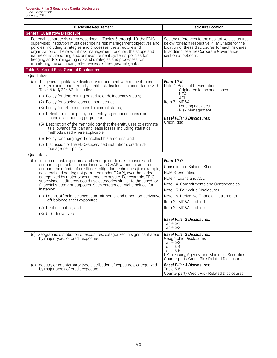| <b>Disclosure Requirement</b>                                                                                                                                                                                                                                                                                                                                                                                                                                                                                             | <b>Disclosure Location</b>                                                                                                                                                                                                     |
|---------------------------------------------------------------------------------------------------------------------------------------------------------------------------------------------------------------------------------------------------------------------------------------------------------------------------------------------------------------------------------------------------------------------------------------------------------------------------------------------------------------------------|--------------------------------------------------------------------------------------------------------------------------------------------------------------------------------------------------------------------------------|
| <b>General Qualitative Disclosure</b>                                                                                                                                                                                                                                                                                                                                                                                                                                                                                     |                                                                                                                                                                                                                                |
| For each separate risk area described in Tables 5 through 10, the FDIC-<br>supervised institution must describe its risk management objectives and<br>policies, including: strategies and processes; the structure and<br>organization of the relevant risk management function; the scope and<br>nature of risk reporting and/or measurement systems; policies for<br>hedging and/or mitigating risk and strategies and processes for<br>monitoring the continuing effectiveness of hedges/mitigants.                    | See the references to the qualitative disclosures<br>below for each respective Pillar 3 table for the<br>location of these disclosures for each risk area.<br>In addition, see the Corporate Governance<br>section at bbt.com. |
| Table 5 - Credit Risk: General Disclosures                                                                                                                                                                                                                                                                                                                                                                                                                                                                                |                                                                                                                                                                                                                                |
| Oualitative:                                                                                                                                                                                                                                                                                                                                                                                                                                                                                                              |                                                                                                                                                                                                                                |
| (a) The general qualitative disclosure requirement with respect to credit<br>risk (excluding counterparty credit risk disclosed in accordance with<br>Table 6 to $\S$ 324.63), including:                                                                                                                                                                                                                                                                                                                                 | Form 10-K:<br>Note 1. Basis of Presentation<br>- Originated loans and leases<br>- NPĂs                                                                                                                                         |
| (1) Policy for determining past due or delinquency status;                                                                                                                                                                                                                                                                                                                                                                                                                                                                | - ACL                                                                                                                                                                                                                          |
| (2) Policy for placing loans on nonaccrual;                                                                                                                                                                                                                                                                                                                                                                                                                                                                               | Item 7 - MD&A<br>- Lending activities                                                                                                                                                                                          |
| (3) Policy for returning loans to accrual status;                                                                                                                                                                                                                                                                                                                                                                                                                                                                         | - Risk Management                                                                                                                                                                                                              |
| (4) Definition of and policy for identifying impaired loans (for<br>financial accounting purposes);                                                                                                                                                                                                                                                                                                                                                                                                                       | <b>Basel Pillar 3 Disclosures:</b>                                                                                                                                                                                             |
| (5) Description of the methodology that the entity uses to estimate<br>its allowance for loan and lease losses, including statistical<br>methods used where applicable;                                                                                                                                                                                                                                                                                                                                                   | Credit Risk                                                                                                                                                                                                                    |
| (6) Policy for charging-off uncollectible amounts; and                                                                                                                                                                                                                                                                                                                                                                                                                                                                    |                                                                                                                                                                                                                                |
| (7) Discussion of the FDIC-supervised institution's credit risk<br>management policy.                                                                                                                                                                                                                                                                                                                                                                                                                                     |                                                                                                                                                                                                                                |
| Quantitative:                                                                                                                                                                                                                                                                                                                                                                                                                                                                                                             |                                                                                                                                                                                                                                |
| (b) Total credit risk exposures and average credit risk exposures, after<br>accounting offsets in accordance with GAAP, without taking into<br>account the effects of credit risk mitigation techniques (for example,<br>collateral and netting not permitted under GAAP), over the period<br>categorized by major types of credit exposure. For example, FDIC-<br>supervised institutions could use categories similar to that used for<br>financial statement purposes. Such categories might include, for<br>instance: | Form 10-Q:<br><b>Consolidated Balance Sheet</b><br>Note 3. Securities<br>Note 4. Loans and ACL<br>Note 14. Commitments and Contingencies<br>Note 15. Fair Value Disclosures                                                    |
| (1) Loans, off-balance sheet commitments, and other non-derivative<br>off-balance sheet exposures;                                                                                                                                                                                                                                                                                                                                                                                                                        | Note 16. Derivative Financial Instruments<br>Item 2 - MD&A - Table 1                                                                                                                                                           |
| (2) Debt securities; and                                                                                                                                                                                                                                                                                                                                                                                                                                                                                                  | Item 2 - MD&A - Table 7                                                                                                                                                                                                        |
| (3) OTC derivatives.                                                                                                                                                                                                                                                                                                                                                                                                                                                                                                      |                                                                                                                                                                                                                                |
|                                                                                                                                                                                                                                                                                                                                                                                                                                                                                                                           | <b>Basel Pillar 3 Disclosures:</b><br>Table 5-1<br>Table 5-2                                                                                                                                                                   |
| (c) Geographic distribution of exposures, categorized in significant areas<br>by major types of credit exposure.                                                                                                                                                                                                                                                                                                                                                                                                          | <b>Basel Pillar 3 Disclosures:</b><br>Geographic Disclosures<br>Table 5-3<br>Table 5-4<br>Table 5-5<br>US Treasury, Agency, and Municipal Securities<br>Counterparty Credit Risk Related Disclosures                           |
| (d) Industry or counterparty type distribution of exposures, categorized<br>by major types of credit exposure.                                                                                                                                                                                                                                                                                                                                                                                                            | <b>Basel Pillar 3 Disclosures:</b><br>Table 5-6<br><b>Counterparty Credit Risk Related Disclosures</b>                                                                                                                         |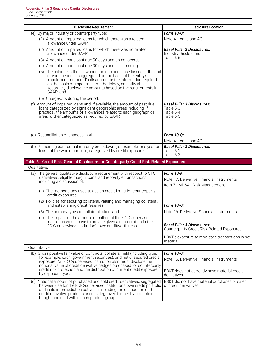| <b>Disclosure Requirement</b>                                                                                                                                                                                                                                                                                                                     | <b>Disclosure Location</b>                                                                 |
|---------------------------------------------------------------------------------------------------------------------------------------------------------------------------------------------------------------------------------------------------------------------------------------------------------------------------------------------------|--------------------------------------------------------------------------------------------|
| (e) By major industry or counterparty type:                                                                                                                                                                                                                                                                                                       | Form 10-Q:                                                                                 |
| (1) Amount of impaired loans for which there was a related<br>allowance under GAAP;                                                                                                                                                                                                                                                               | Note 4. Loans and ACL                                                                      |
| (2) Amount of impaired loans for which there was no related<br>allowance under GAAP;                                                                                                                                                                                                                                                              | <b>Basel Pillar 3 Disclosures:</b><br>Industry Disclosures                                 |
| (3) Amount of loans past due 90 days and on nonaccrual;                                                                                                                                                                                                                                                                                           | Table 5-6                                                                                  |
| (4) Amount of loans past due 90 days and still accruing;                                                                                                                                                                                                                                                                                          |                                                                                            |
| (5) The balance in the allowance for loan and lease losses at the end<br>of each period, disaggregated on the basis of the entity's<br>impairment method. To disaggregate the information required<br>on the basis of impairment methodology, an entity shall<br>separately disclose the amounts based on the requirements in<br>GAAP; and        |                                                                                            |
| (6) Charge-offs during the period.                                                                                                                                                                                                                                                                                                                |                                                                                            |
| (f) Amount of impaired loans and, if available, the amount of past due<br>loans categorized by significant geographic areas including, if<br>practical, the amounts of allowances related to each geographical<br>area, further categorized as required by GAAP.                                                                                  | <b>Basel Pillar 3 Disclosures:</b><br>Table 5-3<br>Table 5-4<br>Table 5-5                  |
| (g) Reconciliation of changes in ALLL.                                                                                                                                                                                                                                                                                                            | Form 10-Q;                                                                                 |
|                                                                                                                                                                                                                                                                                                                                                   | Note 4. Loans and ACL                                                                      |
| (h) Remaining contractual maturity breakdown (for example, one year or<br>less) of the whole portfolio, categorized by credit exposure.                                                                                                                                                                                                           | <b>Basel Pillar 3 Disclosures:</b><br>Table 5-1<br>Table 5-2                               |
| Table 6 - Credit Risk: General Disclosure for Counterparty Credit Risk-Related Exposures                                                                                                                                                                                                                                                          |                                                                                            |
| Oualitative:                                                                                                                                                                                                                                                                                                                                      |                                                                                            |
| (a) The general qualitative disclosure requirement with respect to OTC<br>derivatives, eligible margin loans, and repo-style transactions,<br>including a discussion of:                                                                                                                                                                          | Form 10-K:<br>Note 17. Derivative Financial Instruments<br>Item 7 - MD&A - Risk Management |
| (1) The methodology used to assign credit limits for counterparty<br>credit exposures;                                                                                                                                                                                                                                                            |                                                                                            |
| (2) Policies for securing collateral, valuing and managing collateral,<br>and establishing credit reserves;                                                                                                                                                                                                                                       | Form 10-Q:                                                                                 |
| (3) The primary types of collateral taken; and                                                                                                                                                                                                                                                                                                    | Note 16. Derivative Financial Instruments                                                  |
| (4) The impact of the amount of collateral the FDIC-supervised                                                                                                                                                                                                                                                                                    |                                                                                            |
| institution would have to provide given a deterioration in the<br>FDIC-supervised institution's own creditworthiness.                                                                                                                                                                                                                             | <b>Basel Pillar 3 Disclosures:</b><br><b>Counterparty Credit Risk-Related Exposures</b>    |
|                                                                                                                                                                                                                                                                                                                                                   | BB&T's exposure to repo-style transactions is not<br>material.                             |
| Quantitative:                                                                                                                                                                                                                                                                                                                                     |                                                                                            |
| (b) Gross positive fair value of contracts, collateral held (including type,<br>for example, cash, government securities), and net unsecured credit<br>exposure. An FDIC-supervised institution also must disclose the                                                                                                                            | Form 10-Q:<br>Note 16. Derivative Financial Instruments                                    |
| notional value of credit derivative hedges purchased for counterparty<br>credit risk protection and the distribution of current credit exposure<br>by exposure type.                                                                                                                                                                              | BB&T does not currently have material credit<br>derivatives.                               |
|                                                                                                                                                                                                                                                                                                                                                   |                                                                                            |
| (c) Notional amount of purchased and sold credit derivatives, segregated<br>between use for the FDIC-supervised institution's own credit portfolio<br>and in its intermediation activities, including the distribution of the<br>credit derivative products used, categorized further by protection<br>bought and sold within each product group. | BB&T did not have material purchases or sales<br>of credit derivatives.                    |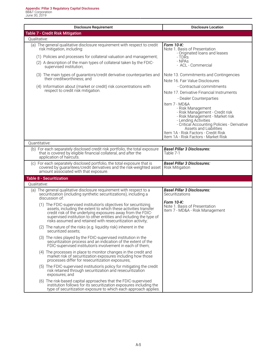| <b>Disclosure Requirement</b>                                                                                                                                                                                                                                                                                                           | <b>Disclosure Location</b>                                                                                                                                                                                                                                                                                                                                        |
|-----------------------------------------------------------------------------------------------------------------------------------------------------------------------------------------------------------------------------------------------------------------------------------------------------------------------------------------|-------------------------------------------------------------------------------------------------------------------------------------------------------------------------------------------------------------------------------------------------------------------------------------------------------------------------------------------------------------------|
| <b>Table 7 - Credit Risk Mitigation</b>                                                                                                                                                                                                                                                                                                 |                                                                                                                                                                                                                                                                                                                                                                   |
| Qualitative:                                                                                                                                                                                                                                                                                                                            |                                                                                                                                                                                                                                                                                                                                                                   |
| (a) The general qualitative disclosure requirement with respect to credit<br>risk mitigation, including:<br>(1) Policies and processes for collateral valuation and management;<br>(2) A description of the main types of collateral taken by the FDIC-<br>supervised institution;                                                      | Form 10-K:<br>Note 1. Basis of Presentation<br>- Originated loans and leases<br>- TDRs<br>- NPAs<br>- ACL - Commercial                                                                                                                                                                                                                                            |
| (3) The main types of guarantors/credit derivative counterparties and<br>their creditworthiness; and<br>(4) Information about (market or credit) risk concentrations with<br>respect to credit risk mitigation.                                                                                                                         | Note 13. Commitments and Contingencies<br>Note 16, Fair Value Disclosures<br>- Contractual commitments<br>Note 17. Derivative Financial Instruments<br>- Dealer Counterparties<br>Item 7 - MD&A<br>- Risk Management<br>- Risk Management - Credit risk<br>- Risk Management - Market risk<br>- Lending Activities<br>- Critical Accounting Policies - Derivative |
|                                                                                                                                                                                                                                                                                                                                         | Assets and Liabilities<br>Item 1A - Risk Factors - Credit Risk<br>Item 1A - Risk Factors - Market Risk                                                                                                                                                                                                                                                            |
| Ouantitative:                                                                                                                                                                                                                                                                                                                           |                                                                                                                                                                                                                                                                                                                                                                   |
| For each separately disclosed credit risk portfolio, the total exposure<br>(b)<br>that is covered by eligible financial collateral, and after the<br>application of haircuts.                                                                                                                                                           | <b>Basel Pillar 3 Disclosures:</b><br>Table 7-1                                                                                                                                                                                                                                                                                                                   |
| (c) For each separately disclosed portfolio, the total exposure that is<br>covered by guarantees/credit derivatives and the risk-weighted asset<br>amount associated with that exposure.                                                                                                                                                | <b>Basel Pillar 3 Disclosures:</b><br><b>Risk Mitigation</b>                                                                                                                                                                                                                                                                                                      |
| <b>Table 8 - Securitization</b>                                                                                                                                                                                                                                                                                                         |                                                                                                                                                                                                                                                                                                                                                                   |
| Qualitative:                                                                                                                                                                                                                                                                                                                            |                                                                                                                                                                                                                                                                                                                                                                   |
| (a) The general qualitative disclosure requirement with respect to a<br>securitization (including synthetic securitizations), including a<br>discussion of:                                                                                                                                                                             | <b>Basel Pillar 3 Disclosures:</b><br>Securitizations                                                                                                                                                                                                                                                                                                             |
| (1) The FDIC-supervised institution's objectives for securitizing<br>assets, including the extent to which these activities transfer<br>credit risk of the underlying exposures away from the FDIC-<br>supervised institution to other entities and including the type of<br>risks assumed and retained with resecuritization activity; | Form 10-K:<br>Note 1. Basis of Presentation<br>Item 7 - MD&A - Risk Management                                                                                                                                                                                                                                                                                    |
| (2) The nature of the risks (e.g. liquidity risk) inherent in the<br>securitized assets;                                                                                                                                                                                                                                                |                                                                                                                                                                                                                                                                                                                                                                   |
| (3) The roles played by the FDIC-supervised institution in the<br>securitization process and an indication of the extent of the<br>FDIC-supervised institution's involvement in each of them;                                                                                                                                           |                                                                                                                                                                                                                                                                                                                                                                   |
| (4) The processes in place to monitor changes in the credit and<br>market risk of securitization exposures including how those<br>processes differ for resecuritization exposures;                                                                                                                                                      |                                                                                                                                                                                                                                                                                                                                                                   |
| (5) The FDIC-supervised institution's policy for mitigating the credit<br>risk retained through securitization and resecuritization<br>exposures; and                                                                                                                                                                                   |                                                                                                                                                                                                                                                                                                                                                                   |
| (6) The risk-based capital approaches that the FDIC-supervised<br>institution follows for its securitization exposures including the<br>type of securitization exposure to which each approach applies.                                                                                                                                 |                                                                                                                                                                                                                                                                                                                                                                   |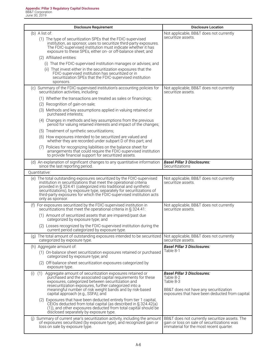| <b>Disclosure Requirement</b>                                                                                                                                                                                                                                                                                                                                                        | <b>Disclosure Location</b>                                                                                                                               |
|--------------------------------------------------------------------------------------------------------------------------------------------------------------------------------------------------------------------------------------------------------------------------------------------------------------------------------------------------------------------------------------|----------------------------------------------------------------------------------------------------------------------------------------------------------|
| $(b)$ A list of:                                                                                                                                                                                                                                                                                                                                                                     | Not applicable, BB&T does not currently<br>securitize assets.                                                                                            |
| (1) The type of securitization SPEs that the FDIC-supervised<br>institution, as sponsor, uses to securitize third-party exposures.<br>The FDIC-supervised institution must indicate whether it has<br>exposure to these SPEs, either on- or off-balance sheet; and                                                                                                                   |                                                                                                                                                          |
| (2) Affiliated entities:                                                                                                                                                                                                                                                                                                                                                             |                                                                                                                                                          |
| (i) That the FDIC-supervised institution manages or advises; and                                                                                                                                                                                                                                                                                                                     |                                                                                                                                                          |
| (ii) That invest either in the securitization exposures that the<br>FDIC-supervised institution has securitized or in<br>securitization SPEs that the FDIC-supervised institution<br>sponsors.                                                                                                                                                                                       |                                                                                                                                                          |
| (c) Summary of the FDIC-supervised institution's accounting policies for<br>securitization activities, including:                                                                                                                                                                                                                                                                    | Not applicable, BB&T does not currently<br>securitize assets.                                                                                            |
| (1) Whether the transactions are treated as sales or financings;                                                                                                                                                                                                                                                                                                                     |                                                                                                                                                          |
| (2) Recognition of gain-on-sale;                                                                                                                                                                                                                                                                                                                                                     |                                                                                                                                                          |
| (3) Methods and key assumptions applied in valuing retained or<br>purchased interests;                                                                                                                                                                                                                                                                                               |                                                                                                                                                          |
| (4) Changes in methods and key assumptions from the previous<br>period for valuing retained interests and impact of the changes;                                                                                                                                                                                                                                                     |                                                                                                                                                          |
| (5) Treatment of synthetic securitizations;                                                                                                                                                                                                                                                                                                                                          |                                                                                                                                                          |
| (6) How exposures intended to be securitized are valued and<br>whether they are recorded under subpart D of this part; and                                                                                                                                                                                                                                                           |                                                                                                                                                          |
| (7) Policies for recognizing liabilities on the balance sheet for<br>arrangements that could require the FDIC-supervised institution<br>to provide financial support for securitized assets.                                                                                                                                                                                         |                                                                                                                                                          |
| (d) An explanation of significant changes to any quantitative information<br>since the last reporting period.                                                                                                                                                                                                                                                                        | <b>Basel Pillar 3 Disclosures:</b><br>Securitizations                                                                                                    |
| Quantitative:                                                                                                                                                                                                                                                                                                                                                                        |                                                                                                                                                          |
| (e) The total outstanding exposures securitized by the FDIC-supervised<br>institution in securitizations that meet the operational criteria<br>provided in § 324.41 (categorized into traditional and synthetic<br>securitizations), by exposure type, separately for securitizations of<br>third-party exposures for which the FDIC-supervised institution acts<br>only as sponsor. | Not applicable, BB&T does not currently<br>securitize assets.                                                                                            |
| (f) For exposures securitized by the FDIC-supervised institution in<br>securitizations that meet the operational criteria in § 324.41:                                                                                                                                                                                                                                               | Not applicable, BB&T does not currently<br>securitize assets.                                                                                            |
| (1) Amount of securitized assets that are impaired/past due<br>categorized by exposure type; and                                                                                                                                                                                                                                                                                     |                                                                                                                                                          |
| (2) Losses recognized by the FDIC-supervised institution during the<br>current period categorized by exposure type.                                                                                                                                                                                                                                                                  |                                                                                                                                                          |
| (g) The total amount of outstanding exposures intended to be securitized<br>categorized by exposure type.                                                                                                                                                                                                                                                                            | Not applicable, BB&T does not currently<br>securitize assets.                                                                                            |
| (h) Aggregate amount of:                                                                                                                                                                                                                                                                                                                                                             | <b>Basel Pillar 3 Disclosures:</b>                                                                                                                       |
| (1) On-balance sheet securitization exposures retained or purchased<br>categorized by exposure type; and                                                                                                                                                                                                                                                                             | Table 8-1                                                                                                                                                |
| (2) Off-balance sheet securitization exposures categorized by<br>exposure type.                                                                                                                                                                                                                                                                                                      |                                                                                                                                                          |
| Aggregate amount of securitization exposures retained or<br>(i)<br>(1)<br>purchased and the associated capital requirements for these<br>exposures, categorized between securitization and<br>resecuritization exposures, further categorized into a<br>meaningful number of risk weight bands and by risk-based<br>capital approach (e.g., SSFA); and                               | <b>Basel Pillar 3 Disclosures:</b><br>Table 8-2<br>Table 8-3<br>BB&T does not have any securitization<br>exposures that have been deducted from capital. |
| (2) Exposures that have been deducted entirely from tier 1 capital,<br>CEIOs deducted from total capital (as described in § 324.42(a)<br>(1)), and other exposures deducted from total capital should be<br>disclosed separately by exposure type.                                                                                                                                   |                                                                                                                                                          |
| (j) Summary of current year's securitization activity, including the amount<br>of exposures securitized (by exposure type), and recognized gain or<br>loss on sale by exposure type.                                                                                                                                                                                                 | BB&T does not currently securitize assets. The<br>gain or loss on sale of securitizations was<br>immaterial for the most recent quarter.                 |